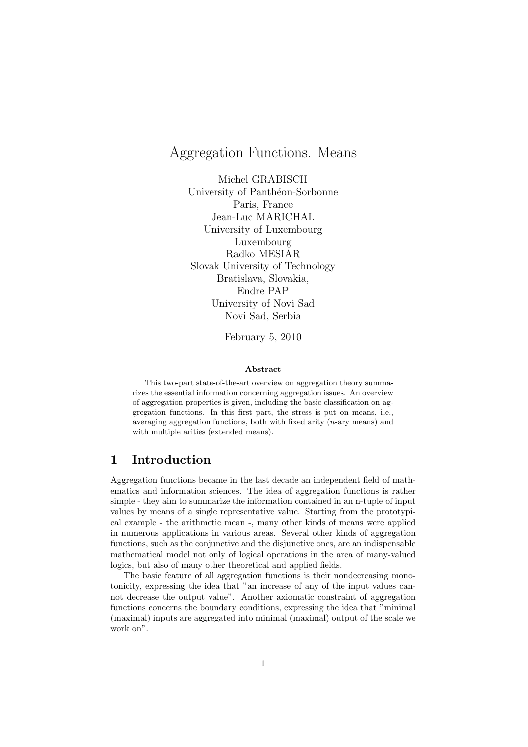# Aggregation Functions. Means

Michel GRABISCH University of Panthéon-Sorbonne Paris, France Jean-Luc MARICHAL University of Luxembourg Luxembourg Radko MESIAR Slovak University of Technology Bratislava, Slovakia, Endre PAP University of Novi Sad Novi Sad, Serbia

February 5, 2010

#### **Abstract**

This two-part state-of-the-art overview on aggregation theory summarizes the essential information concerning aggregation issues. An overview of aggregation properties is given, including the basic classification on aggregation functions. In this first part, the stress is put on means, i.e., averaging aggregation functions, both with fixed arity (*n*-ary means) and with multiple arities (extended means).

# **1 Introduction**

Aggregation functions became in the last decade an independent field of mathematics and information sciences. The idea of aggregation functions is rather simple - they aim to summarize the information contained in an n-tuple of input values by means of a single representative value. Starting from the prototypical example - the arithmetic mean -, many other kinds of means were applied in numerous applications in various areas. Several other kinds of aggregation functions, such as the conjunctive and the disjunctive ones, are an indispensable mathematical model not only of logical operations in the area of many-valued logics, but also of many other theoretical and applied fields.

The basic feature of all aggregation functions is their nondecreasing monotonicity, expressing the idea that "an increase of any of the input values cannot decrease the output value". Another axiomatic constraint of aggregation functions concerns the boundary conditions, expressing the idea that "minimal (maximal) inputs are aggregated into minimal (maximal) output of the scale we work on".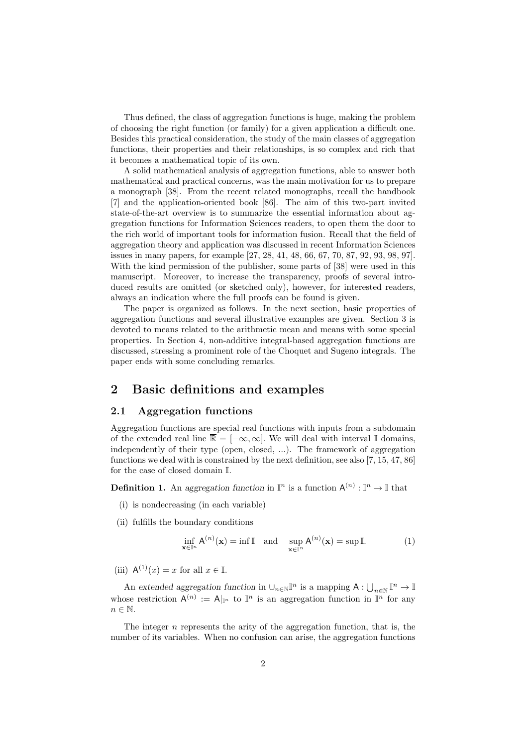Thus defined, the class of aggregation functions is huge, making the problem of choosing the right function (or family) for a given application a difficult one. Besides this practical consideration, the study of the main classes of aggregation functions, their properties and their relationships, is so complex and rich that it becomes a mathematical topic of its own.

A solid mathematical analysis of aggregation functions, able to answer both mathematical and practical concerns, was the main motivation for us to prepare a monograph [38]. From the recent related monographs, recall the handbook [7] and the application-oriented book [86]. The aim of this two-part invited state-of-the-art overview is to summarize the essential information about aggregation functions for Information Sciences readers, to open them the door to the rich world of important tools for information fusion. Recall that the field of aggregation theory and application was discussed in recent Information Sciences issues in many papers, for example [27, 28, 41, 48, 66, 67, 70, 87, 92, 93, 98, 97]. With the kind permission of the publisher, some parts of [38] were used in this manuscript. Moreover, to increase the transparency, proofs of several introduced results are omitted (or sketched only), however, for interested readers, always an indication where the full proofs can be found is given.

The paper is organized as follows. In the next section, basic properties of aggregation functions and several illustrative examples are given. Section 3 is devoted to means related to the arithmetic mean and means with some special properties. In Section 4, non-additive integral-based aggregation functions are discussed, stressing a prominent role of the Choquet and Sugeno integrals. The paper ends with some concluding remarks.

# **2 Basic definitions and examples**

### **2.1 Aggregation functions**

Aggregation functions are special real functions with inputs from a subdomain of the extended real line  $\overline{\mathbb{R}} = [-\infty, \infty]$ . We will deal with interval I domains, independently of their type (open, closed, ...). The framework of aggregation functions we deal with is constrained by the next definition, see also [7, 15, 47, 86] for the case of closed domain I*.*

**Definition 1.** An aggregation function in  $\mathbb{I}^n$  is a function  $A^{(n)} : \mathbb{I}^n \to \mathbb{I}$  that

- (i) is nondecreasing (in each variable)
- (ii) fulfills the boundary conditions

$$
\inf_{\mathbf{x}\in\mathbb{I}^n} A^{(n)}(\mathbf{x}) = \inf \mathbb{I} \quad \text{and} \quad \sup_{\mathbf{x}\in\mathbb{I}^n} A^{(n)}(\mathbf{x}) = \sup \mathbb{I}. \tag{1}
$$

(iii)  $A^{(1)}(x) = x$  for all  $x \in \mathbb{I}$ .

An extended aggregation function in  $\cup_{n\in\mathbb{N}}\mathbb{I}^n$  is a mapping  $A:\bigcup_{n\in\mathbb{N}}\mathbb{I}^n\to\mathbb{I}$ whose restriction  $A^{(n)} := A_{\vert \mathbb{I}^n}$  to  $\mathbb{I}^n$  is an aggregation function in  $\mathbb{I}^n$  for any *n ∈* N.

The integer *n* represents the arity of the aggregation function, that is, the number of its variables. When no confusion can arise, the aggregation functions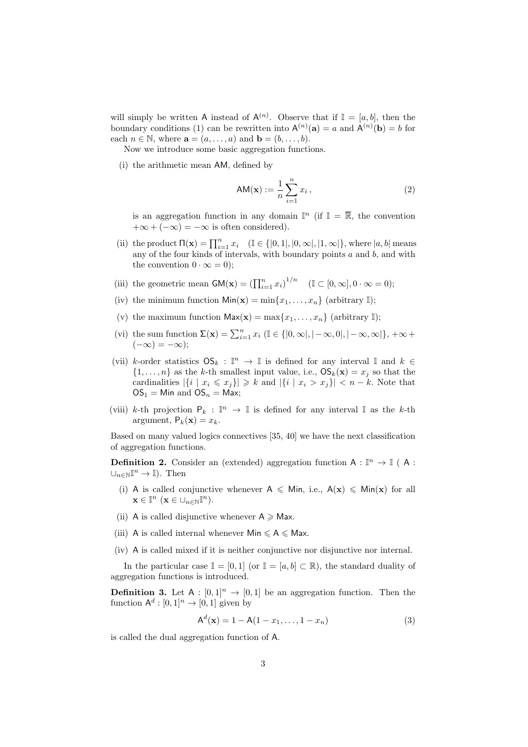will simply be written A instead of  $A^{(n)}$ . Observe that if  $\mathbb{I} = [a, b]$ , then the boundary conditions (1) can be rewritten into  $A^{(n)}(a) = a$  and  $A^{(n)}(b) = b$  for each  $n \in \mathbb{N}$ , where  $\mathbf{a} = (a, \ldots, a)$  and  $\mathbf{b} = (b, \ldots, b)$ .

Now we introduce some basic aggregation functions.

(i) the arithmetic mean AM*,* defined by

$$
AM(\mathbf{x}) := \frac{1}{n} \sum_{i=1}^{n} x_i , \qquad (2)
$$

is an aggregation function in any domain  $\mathbb{I}^n$  (if  $\mathbb{I} = \overline{\mathbb{R}}$ , the convention  $+\infty + (-\infty) = -\infty$  is often considered).

- (ii) the product  $\Pi(\mathbf{x}) = \prod_{i=1}^{n} x_i$  ( $\mathbb{I} \in \{ [0, 1], [0, \infty], [1, \infty] \}$ , where  $|a, b|$  means any of the four kinds of intervals, with boundary points *a* and *b,* and with the convention  $0 \cdot \infty = 0$ ;
- (iii) the geometric mean  $GM(x) = (\prod_{i=1}^{n} x_i)^{1/n}$  ( $\mathbb{I} \subset [0, \infty], 0 \cdot \infty = 0$ );
- (iv) the minimum function  $\text{Min}(\mathbf{x}) = \min\{x_1, \dots, x_n\}$  (arbitrary I);
- (v) the maximum function  $\text{Max}(\mathbf{x}) = \max\{x_1, \ldots, x_n\}$  (arbitrary I);
- (vi) the sum function  $\Sigma(\mathbf{x}) = \sum_{i=1}^{n} x_i \ (\mathbb{I} \in \{ |0, \infty|, |-\infty, 0|, |-\infty, \infty| \}, +\infty +$  $(-\infty) = -\infty);$
- (vii) *k*-order statistics  $OS_k : \mathbb{I}^n \to \mathbb{I}$  is defined for any interval  $\mathbb{I}$  and  $k \in$  $\{1, \ldots, n\}$  as the *k*-th smallest input value, i.e.,  $\mathsf{OS}_k(\mathbf{x}) = x_i$  so that the cardinalities  $|\{i \mid x_i \leq x_j\}| \geq k$  and  $|\{i \mid x_i > x_j\}| < n - k$ . Note that  $OS_1 =$  Min and  $OS_n =$  Max;
- (viii) *k*-th projection  $P_k : \mathbb{I}^n \to \mathbb{I}$  is defined for any interval  $\mathbb{I}$  as the *k*-th argument,  $P_k(\mathbf{x}) = x_k$ .

Based on many valued logics connectives [35, 40] we have the next classification of aggregation functions.

**Definition 2.** Consider an (extended) aggregation function  $A : \mathbb{I}^n \to \mathbb{I}$  (A:  $\cup_{n \in \mathbb{N}} \mathbb{I}^n$  →  $\mathbb{I}$ ). Then

- (i) A is called conjunctive whenever  $A \leq M$ in, i.e.,  $A(x) \leq M$ in(**x**) for all  $\mathbf{x} \in \mathbb{I}^n \ (\mathbf{x} \in \bigcup_{n \in \mathbb{N}} \mathbb{I}^n).$
- (ii) A is called disjunctive whenever  $A \geq M$ ax.
- (iii) A is called internal whenever  $Min \leq A \leq Max$ .
- (iv) A is called mixed if it is neither conjunctive nor disjunctive nor internal.

In the particular case  $\mathbb{I} = [0,1]$  (or  $\mathbb{I} = [a,b] \subset \mathbb{R}$ ), the standard duality of aggregation functions is introduced.

**Definition 3.** Let  $A : [0,1]^n \rightarrow [0,1]$  be an aggregation function. Then the function  $A^d$ :  $[0, 1]^n \rightarrow [0, 1]$  given by

$$
A^{d}(\mathbf{x}) = 1 - A(1 - x_1, \dots, 1 - x_n)
$$
 (3)

is called the dual aggregation function of A.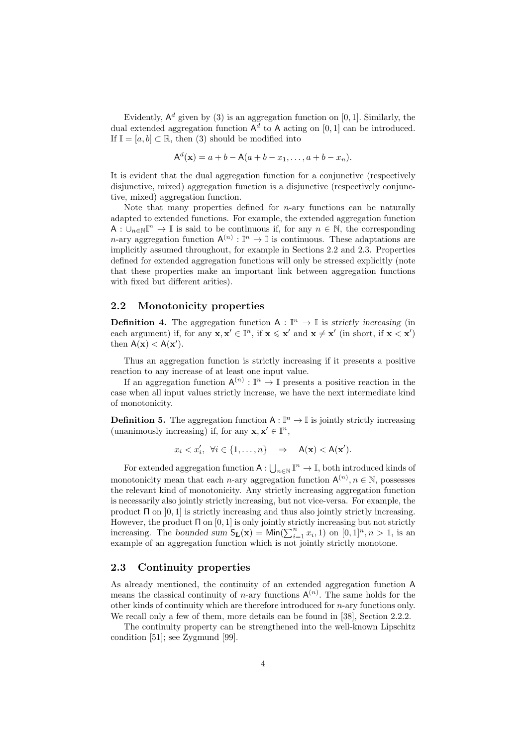Evidently,  $A^d$  given by (3) is an aggregation function on [0, 1]. Similarly, the dual extended aggregation function  $A^d$  to A acting on [0, 1] can be introduced. If  $\mathbb{I} = [a, b] \subset \mathbb{R}$ , then (3) should be modified into

$$
A^{d}(x) = a + b - A(a + b - x_1, ..., a + b - x_n).
$$

It is evident that the dual aggregation function for a conjunctive (respectively disjunctive, mixed) aggregation function is a disjunctive (respectively conjunctive, mixed) aggregation function.

Note that many properties defined for *n*-ary functions can be naturally adapted to extended functions. For example, the extended aggregation function A : *∪<sup>n</sup>∈*NI *<sup>n</sup> →* I is said to be continuous if, for any *n ∈* N*,* the corresponding *n*-ary aggregation function  $A^{(n)} : \mathbb{I}^n \to \mathbb{I}$  is continuous. These adaptations are implicitly assumed throughout, for example in Sections 2.2 and 2.3. Properties defined for extended aggregation functions will only be stressed explicitly (note that these properties make an important link between aggregation functions with fixed but different arities).

#### **2.2 Monotonicity properties**

**Definition 4.** The aggregation function  $A : \mathbb{I}^n \to \mathbb{I}$  is *strictly increasing* (in each argument) if, for any  $\mathbf{x}, \mathbf{x}' \in \mathbb{I}^n$ , if  $\mathbf{x} \leq \mathbf{x}'$  and  $\mathbf{x} \neq \mathbf{x}'$  (in short, if  $\mathbf{x} < \mathbf{x}'$ ) then  $A(\mathbf{x}) < A(\mathbf{x}')$ .

Thus an aggregation function is strictly increasing if it presents a positive reaction to any increase of at least one input value.

If an aggregation function  $A^{(n)} : \mathbb{I}^n \to \mathbb{I}$  presents a positive reaction in the case when all input values strictly increase, we have the next intermediate kind of monotonicity.

**Definition 5.** The aggregation function  $A: \mathbb{I}^n \to \mathbb{I}$  is jointly strictly increasing (unanimously increasing) if, for any  $\mathbf{x}, \mathbf{x}' \in \mathbb{I}^n$ ,

$$
x_i < x_i', \ \forall i \in \{1, \dots, n\} \quad \Rightarrow \quad \mathsf{A}(\mathbf{x}) < \mathsf{A}(\mathbf{x}').
$$

For extended aggregation function  $A: \bigcup_{n \in \mathbb{N}} \mathbb{I}^n \to \mathbb{I}$ , both introduced kinds of monotonicity mean that each *n*-ary aggregation function  $A^{(n)}$ ,  $n \in \mathbb{N}$ , possesses the relevant kind of monotonicity. Any strictly increasing aggregation function is necessarily also jointly strictly increasing, but not vice-versa. For example, the product Π on ]0*,* 1] is strictly increasing and thus also jointly strictly increasing. However, the product Π on [0*,* 1] is only jointly strictly increasing but not strictly increasing. The *bounded sum*  $S_{L}(\mathbf{x}) = \text{Min}(\sum_{i=1}^{n} x_i, 1)$  on  $[0, 1]^n, n > 1$ , is an example of an aggregation function which is not jointly strictly monotone.

## **2.3 Continuity properties**

As already mentioned, the continuity of an extended aggregation function A means the classical continuity of *n*-ary functions  $A^{(n)}$ . The same holds for the other kinds of continuity which are therefore introduced for *n*-ary functions only. We recall only a few of them, more details can be found in [38], Section 2.2.2.

The continuity property can be strengthened into the well-known Lipschitz condition [51]; see Zygmund [99].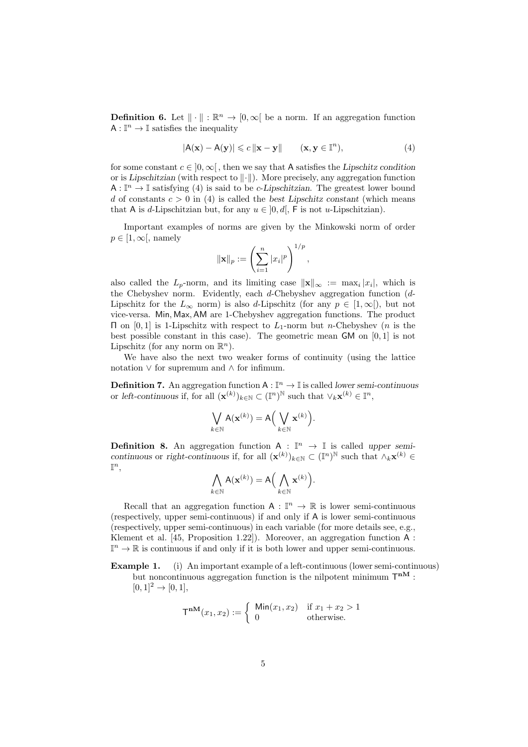**Definition 6.** Let  $\|\cdot\|$ :  $\mathbb{R}^n \to [0, \infty]$  be a norm. If an aggregation function  $A: \mathbb{I}^n \to \mathbb{I}$  satisfies the inequality

$$
|\mathsf{A}(\mathbf{x}) - \mathsf{A}(\mathbf{y})| \leq c \|\mathbf{x} - \mathbf{y}\| \qquad (\mathbf{x}, \mathbf{y} \in \mathbb{I}^n), \tag{4}
$$

for some constant  $c \in [0, \infty)$ , then we say that A satisfies the *Lipschitz condition* or is *Lipschitzian* (with respect to *∥·∥*). More precisely, any aggregation function  $A: \mathbb{I}^n \to \mathbb{I}$  satisfying (4) is said to be *c*-*Lipschitzian*. The greatest lower bound *d* of constants  $c > 0$  in (4) is called the *best Lipschitz constant* (which means that A is *d*-Lipschitzian but, for any  $u \in [0, d]$ . F is not *u*-Lipschitzian).

Important examples of norms are given by the Minkowski norm of order  $p \in [1, \infty]$ , namely

$$
\|\mathbf{x}\|_{p} := \left(\sum_{i=1}^{n} |x_i|^p\right)^{1/p},\,
$$

also called the  $L_p$ -norm, and its limiting case  $||\mathbf{x}||_{\infty} := \max_i |x_i|$ , which is the Chebyshev norm. Evidently, each *d*-Chebyshev aggregation function (*d*-Lipschitz for the  $L_{\infty}$  norm) is also *d*-Lipschitz (for any  $p \in [1, \infty)$ ), but not vice-versa. Min*,* Max*,*AM are 1-Chebyshev aggregation functions. The product Π on [0*,* 1] is 1-Lipschitz with respect to *L*1-norm but *n*-Chebyshev (*n* is the best possible constant in this case). The geometric mean GM on [0*,* 1] is not Lipschitz (for any norm on  $\mathbb{R}^n$ ).

We have also the next two weaker forms of continuity (using the lattice notation *∨* for supremum and *∧* for infimum.

**Definition 7.** An aggregation function  $A: \mathbb{I}^n \to \mathbb{I}$  is called *lower semi-continuous* or *left-continuous* if, for all  $(\mathbf{x}^{(k)})_{k \in \mathbb{N}} \subset (\mathbb{I}^n)^{\mathbb{N}}$  such that  $\vee_k \mathbf{x}^{(k)} \in \mathbb{I}^n$ ,

$$
\bigvee_{k \in \mathbb{N}} \mathsf{A}(\mathbf{x}^{(k)}) = \mathsf{A}\Big(\bigvee_{k \in \mathbb{N}} \mathbf{x}^{(k)}\Big).
$$

**Definition 8.** An aggregation function  $A : \mathbb{I}^n \to \mathbb{I}$  is called *upper semicontinuous* or *right-continuous* if, for all  $(\mathbf{x}^{(k)})_{k \in \mathbb{N}} \subset (\mathbb{I}^n)^{\mathbb{N}}$  such that  $\wedge_k \mathbf{x}^{(k)} \in$  $\mathbb{I}^n$ ,

$$
\bigwedge_{k \in \mathbb{N}} \mathsf{A}(\mathbf{x}^{(k)}) = \mathsf{A}\Big(\bigwedge_{k \in \mathbb{N}} \mathbf{x}^{(k)}\Big).
$$

Recall that an aggregation function  $A : \mathbb{I}^n \to \mathbb{R}$  is lower semi-continuous (respectively, upper semi-continuous) if and only if A is lower semi-continuous (respectively, upper semi-continuous) in each variable (for more details see, e.g., Klement et al. [45, Proposition 1.22]). Moreover, an aggregation function A :  $\mathbb{I}^n \to \mathbb{R}$  is continuous if and only if it is both lower and upper semi-continuous.

**Example 1.** (i) An important example of a left-continuous (lower semi-continuous) but noncontinuous aggregation function is the nilpotent minimum  $T^{nM}$ :  $[0, 1]^2 \rightarrow [0, 1],$ 

$$
\mathsf{T}^{\mathbf{nM}}(x_1, x_2) := \begin{cases} \text{Min}(x_1, x_2) & \text{if } x_1 + x_2 > 1 \\ 0 & \text{otherwise.} \end{cases}
$$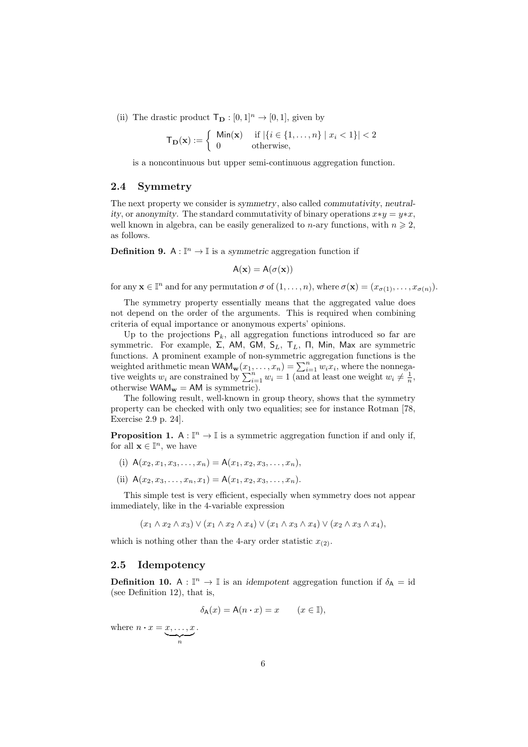(ii) The drastic product  $\mathsf{T}_{\mathbf{D}} : [0,1]^n \to [0,1]$ , given by

$$
\mathsf{T}_{\mathbf{D}}(\mathbf{x}) := \left\{ \begin{array}{ll} \mathsf{Min}(\mathbf{x}) & \text{if } |\{i \in \{1, \dots, n\} \mid x_i < 1\}| < 2 \\ 0 & \text{otherwise,} \end{array} \right.
$$

is a noncontinuous but upper semi-continuous aggregation function.

#### **2.4 Symmetry**

The next property we consider is *symmetry*, also called *commutativity*, *neutrality*, or anonymity. The standard commutativity of binary operations  $x * y = y * x$ , well known in algebra, can be easily generalized to *n*-ary functions, with  $n \geq 2$ , as follows.

**Definition 9.** A :  $\mathbb{I}^n \to \mathbb{I}$  is a *symmetric* aggregation function if

$$
A(\mathbf{x}) = A(\sigma(\mathbf{x}))
$$

for any  $\mathbf{x} \in \mathbb{I}^n$  and for any permutation  $\sigma$  of  $(1, \ldots, n)$ , where  $\sigma(\mathbf{x}) = (x_{\sigma(1)}, \ldots, x_{\sigma(n)})$ .

The symmetry property essentially means that the aggregated value does not depend on the order of the arguments. This is required when combining criteria of equal importance or anonymous experts' opinions.

Up to the projections  $P_k$ , all aggregation functions introduced so far are symmetric. For example, Σ, AM, GM, S*L*, T*L*, Π, Min, Max are symmetric functions. A prominent example of non-symmetric aggregation functions is the weighted arithmetic mean  $WAM_w(x_1, \ldots, x_n) = \sum_{i=1}^n w_i x_i$ , where the nonnegative weights  $w_i$  are constrained by  $\sum_{i=1}^n w_i = 1$  (and at least one weight  $w_i \neq \frac{1}{n}$ , otherwise  $WAM_w = AM$  is symmetric).

The following result, well-known in group theory, shows that the symmetry property can be checked with only two equalities; see for instance Rotman [78, Exercise 2.9 p. 24].

**Proposition 1.** A :  $\mathbb{I}^n \to \mathbb{I}$  is a symmetric aggregation function if and only if, for all  $\mathbf{x} \in \mathbb{I}^n$ , we have

- (i)  $A(x_2, x_1, x_3, \ldots, x_n) = A(x_1, x_2, x_3, \ldots, x_n).$
- (ii)  $A(x_2, x_3, \ldots, x_n, x_1) = A(x_1, x_2, x_3, \ldots, x_n).$

*.*

This simple test is very efficient, especially when symmetry does not appear immediately, like in the 4-variable expression

 $(x_1 \wedge x_2 \wedge x_3) \vee (x_1 \wedge x_2 \wedge x_4) \vee (x_1 \wedge x_3 \wedge x_4) \vee (x_2 \wedge x_3 \wedge x_4).$ 

which is nothing other than the 4-ary order statistic  $x_{(2)}$ .

#### **2.5 Idempotency**

**Definition 10.** A :  $\mathbb{I}^n \to \mathbb{I}$  is an *idempotent* aggregation function if  $\delta_A = id$ (see Definition 12), that is,

$$
\delta_{A}(x) = A(n \cdot x) = x \qquad (x \in \mathbb{I}),
$$

where  $n \cdot x = x, \ldots, x$  $\sum_{n}$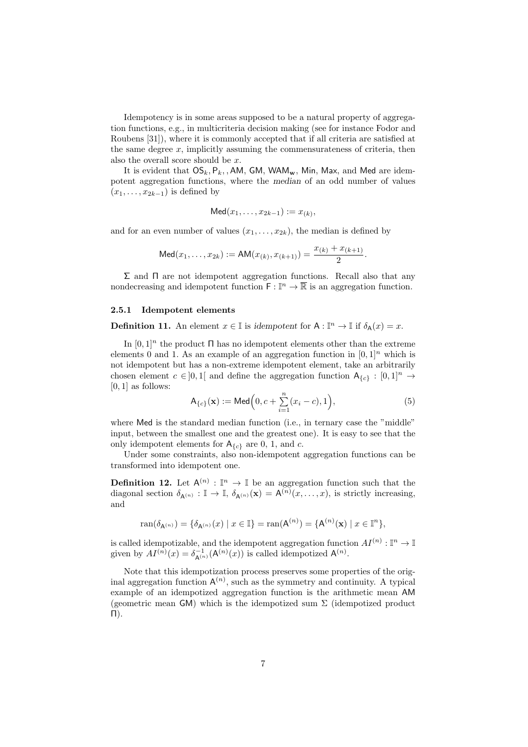Idempotency is in some areas supposed to be a natural property of aggregation functions, e.g., in multicriteria decision making (see for instance Fodor and Roubens [31]), where it is commonly accepted that if all criteria are satisfied at the same degree  $x$ , implicitly assuming the commensurateness of criteria, then also the overall score should be *x*.

It is evident that  $OS_k$ ,  $P_k$ , , AM, GM, WAM<sub>w</sub>, Min, Max, and Med are idempotent aggregation functions, where the *median* of an odd number of values  $(x_1, \ldots, x_{2k-1})$  is defined by

$$
\mathsf{Med}(x_1,\ldots,x_{2k-1}) := x_{(k)},
$$

and for an even number of values  $(x_1, \ldots, x_{2k})$ , the median is defined by

$$
\mathsf{Med}(x_1,\ldots,x_{2k}) := \mathsf{AM}(x_{(k)},x_{(k+1)}) = \frac{x_{(k)} + x_{(k+1)}}{2}.
$$

 $Σ$  and  $Π$  are not idempotent aggregation functions. Recall also that any nondecreasing and idempotent function  $\mathsf{F} : \mathbb{I}^n \to \mathbb{R}$  is an aggregation function.

#### **2.5.1 Idempotent elements**

**Definition 11.** An element  $x \in \mathbb{I}$  is *idempotent* for  $A: \mathbb{I}^n \to \mathbb{I}$  if  $\delta_A(x) = x$ .

In  $[0, 1]^n$  the product  $\Pi$  has no idempotent elements other than the extreme elements 0 and 1. As an example of an aggregation function in  $[0, 1]^n$  which is not idempotent but has a non-extreme idempotent element, take an arbitrarily chosen element  $c \in ]0,1[$  and define the aggregation function  $A_{\{c\}} : [0,1]^n \to$ [0*,* 1] as follows:

$$
\mathsf{A}_{\{c\}}(\mathbf{x}) := \mathsf{Med}\Big(0, c + \sum_{i=1}^{n} (x_i - c), 1\Big),\tag{5}
$$

where Med is the standard median function (i.e., in ternary case the "middle" input, between the smallest one and the greatest one). It is easy to see that the only idempotent elements for  $A_{\{c\}}$  are 0, 1, and *c*.

Under some constraints, also non-idempotent aggregation functions can be transformed into idempotent one.

**Definition 12.** Let  $A^{(n)} : \mathbb{I}^n \to \mathbb{I}$  be an aggregation function such that the diagonal section  $\delta_{\mathsf{A}^{(n)}} : \mathbb{I} \to \mathbb{I}$ ,  $\delta_{\mathsf{A}^{(n)}}(\mathbf{x}) = \mathsf{A}^{(n)}(x, \dots, x)$ , is strictly increasing, and

$$
\text{ran}(\delta_{\mathsf{A}^{(n)}}) = \{ \delta_{\mathsf{A}^{(n)}}(x) \mid x \in \mathbb{I} \} = \text{ran}(\mathsf{A}^{(n)}) = \{ \mathsf{A}^{(n)}(\mathbf{x}) \mid x \in \mathbb{I}^n \},
$$

is called idempotizable, and the idempotent aggregation function  $AI^{(n)} : \mathbb{I}^n \to \mathbb{I}$ given by  $AI^{(n)}(x) = \delta_{\mathsf{A}^{(n)}}^{-1}(\mathsf{A}^{(n)}(x))$  is called idempotized  $\mathsf{A}^{(n)}$ .

Note that this idempotization process preserves some properties of the original aggregation function  $A^{(n)}$ , such as the symmetry and continuity. A typical example of an idempotized aggregation function is the arithmetic mean AM (geometric mean GM) which is the idempotized sum  $\Sigma$  (idempotized product Π).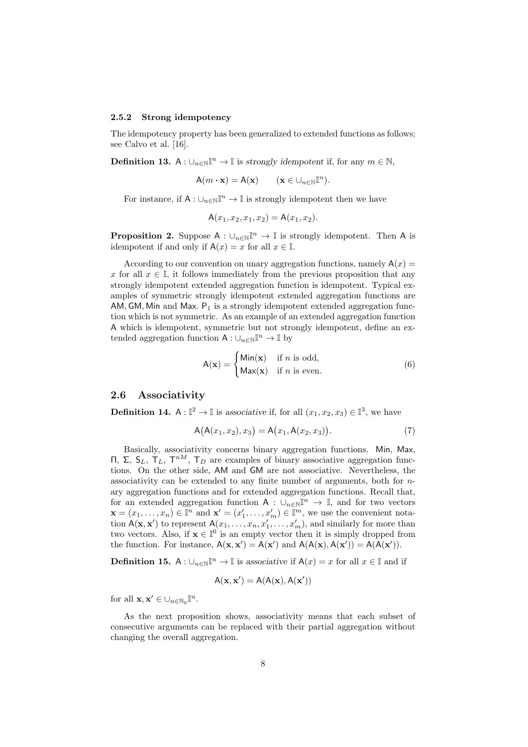#### **2.5.2 Strong idempotency**

The idempotency property has been generalized to extended functions as follows; see Calvo et al. [16].

**Definition 13.** A :  $\cup_{n\in\mathbb{N}}\mathbb{I}^n \to \mathbb{I}$  is *strongly idempotent* if, for any  $m \in \mathbb{N}$ ,

$$
\mathsf{A}(m \cdot \mathbf{x}) = \mathsf{A}(\mathbf{x}) \qquad (\mathbf{x} \in \cup_{n \in \mathbb{N}} \mathbb{I}^n).
$$

For instance, if  $A: \cup_{n\in\mathbb{N}}\mathbb{I}^n \to \mathbb{I}$  is strongly idempotent then we have

$$
A(x_1, x_2, x_1, x_2) = A(x_1, x_2).
$$

**Proposition 2.** Suppose  $A: \bigcup_{n\in\mathbb{N}}\mathbb{I}^n \to \mathbb{I}$  is strongly idempotent. Then A is idempotent if and only if  $A(x) = x$  for all  $x \in \mathbb{I}$ .

According to our convention on unary aggregation functions, namely  $A(x) =$ *x* for all  $x \in \mathbb{I}$ , it follows immediately from the previous proposition that any strongly idempotent extended aggregation function is idempotent. Typical examples of symmetric strongly idempotent extended aggregation functions are AM,  $GM$ , Min and Max.  $P_1$  is a strongly idempotent extended aggregation function which is not symmetric. As an example of an extended aggregation function A which is idempotent, symmetric but not strongly idempotent, define an extended aggregation function  $A: \bigcup_{n \in \mathbb{N}} \mathbb{I}^n \to \mathbb{I}$  by

$$
A(\mathbf{x}) = \begin{cases} \text{Min}(\mathbf{x}) & \text{if } n \text{ is odd,} \\ \text{Max}(\mathbf{x}) & \text{if } n \text{ is even.} \end{cases}
$$
 (6)

## **2.6 Associativity**

**Definition 14.** A :  $\mathbb{I}^2 \to \mathbb{I}$  is associative if, for all  $(x_1, x_2, x_3) \in \mathbb{I}^3$ , we have

$$
A(A(x_1, x_2), x_3) = A(x_1, A(x_2, x_3)).
$$
\n(7)

Basically, associativity concerns binary aggregation functions. Min, Max, Π, Σ,  $S_L$ , Τ<sub>L</sub>, Τ<sup>nM</sup>, Τ<sub>D</sub> are examples of binary associative aggregation functions. On the other side, AM and GM are not associative. Nevertheless, the associativity can be extended to any finite number of arguments, both for *n*ary aggregation functions and for extended aggregation functions. Recall that, for an extended aggregation function  $A : \bigcup_{n \in \mathbb{N}} \mathbb{I}^n \to \mathbb{I}$ , and for two vectors  $\mathbf{x} = (x_1, \ldots, x_n) \in \mathbb{I}^n$  and  $\mathbf{x}' = (x'_1, \ldots, x'_m) \in \mathbb{I}^m$ , we use the convenient notation  $A(\mathbf{x}, \mathbf{x}')$  to represent  $A(x_1, \ldots, x_n, x'_1, \ldots, x'_m)$ , and similarly for more than two vectors. Also, if  $\mathbf{x} \in \mathbb{I}^0$  is an empty vector then it is simply dropped from the function. For instance,  $A(\mathbf{x}, \mathbf{x}') = A(\mathbf{x}')$  and  $A(A(\mathbf{x}), A(\mathbf{x}')) = A(A(\mathbf{x}'))$ .

**Definition 15.** A :  $\cup_{n\in\mathbb{N}}\mathbb{I}^n \to \mathbb{I}$  is associative if  $A(x) = x$  for all  $x \in \mathbb{I}$  and if

$$
A(\mathbf{x},\mathbf{x}')=A(A(\mathbf{x}),A(\mathbf{x}'))
$$

for all  $\mathbf{x}, \mathbf{x}' \in \bigcup_{n \in \mathbb{N}_0} \mathbb{I}^n$ .

As the next proposition shows, associativity means that each subset of consecutive arguments can be replaced with their partial aggregation without changing the overall aggregation.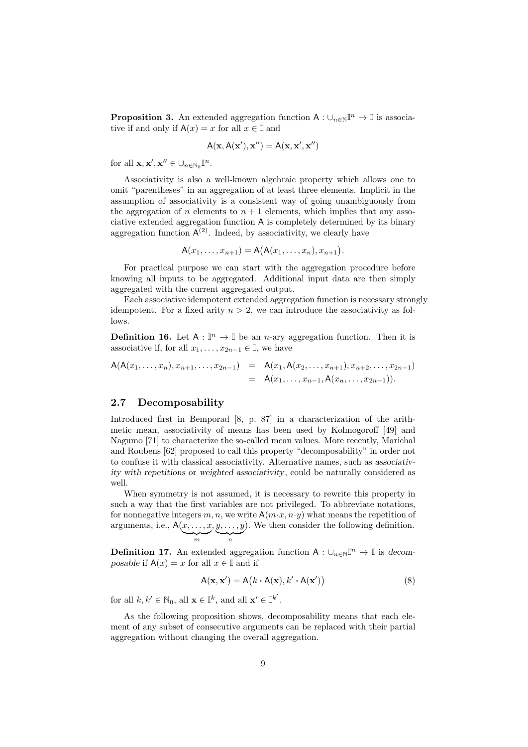**Proposition 3.** An extended aggregation function  $A: \bigcup_{n\in\mathbb{N}}\mathbb{I}^n \to \mathbb{I}$  is associative if and only if  $A(x) = x$  for all  $x \in \mathbb{I}$  and

$$
A(\mathbf{x}, A(\mathbf{x}'), \mathbf{x}'') = A(\mathbf{x}, \mathbf{x}', \mathbf{x}'')
$$

for all  $\mathbf{x}, \mathbf{x}', \mathbf{x}'' \in \bigcup_{n \in \mathbb{N}_0} \mathbb{I}^n$ .

Associativity is also a well-known algebraic property which allows one to omit "parentheses" in an aggregation of at least three elements. Implicit in the assumption of associativity is a consistent way of going unambiguously from the aggregation of *n* elements to  $n + 1$  elements, which implies that any associative extended aggregation function A is completely determined by its binary aggregation function  $A^{(2)}$ . Indeed, by associativity, we clearly have

$$
A(x_1,...,x_{n+1}) = A(A(x_1,...,x_n),x_{n+1}).
$$

For practical purpose we can start with the aggregation procedure before knowing all inputs to be aggregated. Additional input data are then simply aggregated with the current aggregated output.

Each associative idempotent extended aggregation function is necessary strongly idempotent. For a fixed arity  $n > 2$ , we can introduce the associativity as follows.

**Definition 16.** Let  $A : \mathbb{I}^n \to \mathbb{I}$  be an *n*-ary aggregation function. Then it is associative if, for all  $x_1, \ldots, x_{2n-1} \in \mathbb{I}$ , we have

$$
A(A(x_1,...,x_n),x_{n+1},...,x_{2n-1}) = A(x_1,A(x_2,...,x_{n+1}),x_{n+2},...,x_{2n-1})
$$
  
=  $A(x_1,...,x_{n-1},A(x_n,...,x_{2n-1})).$ 

## **2.7 Decomposability**

Introduced first in Bemporad [8, p. 87] in a characterization of the arithmetic mean, associativity of means has been used by Kolmogoroff [49] and Nagumo [71] to characterize the so-called mean values. More recently, Marichal and Roubens [62] proposed to call this property "decomposability" in order not to confuse it with classical associativity. Alternative names, such as *associativity with repetitions* or *weighted associativity*, could be naturally considered as well.

When symmetry is not assumed, it is necessary to rewrite this property in such a way that the first variables are not privileged. To abbreviate notations, for nonnegative integers  $m, n$ , we write  $A(m \cdot x, n \cdot y)$  what means the repetition of arguments, i.e., A(*x, . . . , x*  $\frac{1}{m}$ *, y, . . . , y*  $\sum_{n}$ )*.* We then consider the following definition.

**Definition 17.** An extended aggregation function  $A: \bigcup_{n\in\mathbb{N}}\mathbb{I}^n \to \mathbb{I}$  is *decomposable* if  $A(x) = x$  for all  $x \in I$  and if

$$
A(\mathbf{x}, \mathbf{x}') = A(k \cdot A(\mathbf{x}), k' \cdot A(\mathbf{x}')) \tag{8}
$$

for all  $k, k' \in \mathbb{N}_0$ , all  $\mathbf{x} \in \mathbb{I}^k$ , and all  $\mathbf{x}' \in \mathbb{I}^{k'}$ .

As the following proposition shows, decomposability means that each element of any subset of consecutive arguments can be replaced with their partial aggregation without changing the overall aggregation.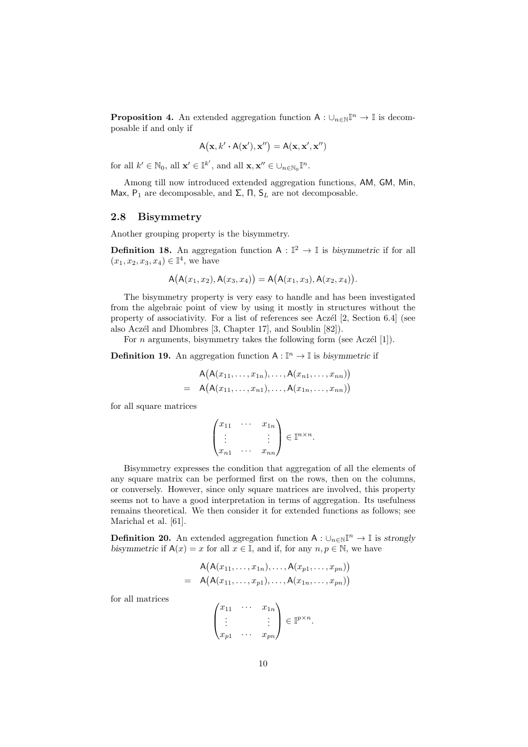**Proposition 4.** An extended aggregation function  $A: \bigcup_{n \in \mathbb{N}} \mathbb{I}^n \to \mathbb{I}$  is decomposable if and only if

$$
\mathsf{A}\big(\mathbf{x},k'\boldsymbol{\cdot}\mathsf{A}(\mathbf{x}'),\mathbf{x}''\big)=\mathsf{A}(\mathbf{x},\mathbf{x}',\mathbf{x}'')
$$

for all  $k' \in \mathbb{N}_0$ , all  $\mathbf{x}' \in \mathbb{I}^{k'}$ , and all  $\mathbf{x}, \mathbf{x}'' \in \bigcup_{n \in \mathbb{N}_0} \mathbb{I}^n$ .

Among till now introduced extended aggregation functions, AM*,* GM*,* Min*,* Max,  $P_1$  are decomposable, and  $\Sigma$ ,  $\Pi$ ,  $S_L$  are not decomposable.

#### **2.8 Bisymmetry**

Another grouping property is the bisymmetry.

**Definition 18.** An aggregation function  $A: \mathbb{I}^2 \to \mathbb{I}$  is *bisymmetric* if for all  $(x_1, x_2, x_3, x_4) \in \mathbb{I}^4$ , we have

$$
A(A(x_1, x_2), A(x_3, x_4)) = A(A(x_1, x_3), A(x_2, x_4)).
$$

The bisymmetry property is very easy to handle and has been investigated from the algebraic point of view by using it mostly in structures without the property of associativity. For a list of references see Aczél  $[2,$  Section 6.4] (see also Aczél and Dhombres [3, Chapter 17], and Soublin [82]).

For *n* arguments, bisymmetry takes the following form (see Aczél [1]).

**Definition 19.** An aggregation function  $A: \mathbb{I}^n \to \mathbb{I}$  is *bisymmetric* if

$$
A(A(x_{11},\ldots,x_{1n}),\ldots,A(x_{n1},\ldots,x_{nn}))
$$
  
=  $A(A(x_{11},\ldots,x_{n1}),\ldots,A(x_{1n},\ldots,x_{nn}))$ 

for all square matrices

$$
\begin{pmatrix} x_{11} & \cdots & x_{1n} \\ \vdots & & \vdots \\ x_{n1} & \cdots & x_{nn} \end{pmatrix} \in \mathbb{I}^{n \times n}.
$$

Bisymmetry expresses the condition that aggregation of all the elements of any square matrix can be performed first on the rows, then on the columns, or conversely. However, since only square matrices are involved, this property seems not to have a good interpretation in terms of aggregation. Its usefulness remains theoretical. We then consider it for extended functions as follows; see Marichal et al. [61].

**Definition 20.** An extended aggregation function  $A: \bigcup_{n \in \mathbb{N}} \mathbb{I}^n \to \mathbb{I}$  is *strongly bisymmetric* if  $A(x) = x$  for all  $x \in I$ , and if, for any  $n, p \in N$ , we have

$$
A(A(x_{11},\ldots,x_{1n}),\ldots,A(x_{p1},\ldots,x_{pn}))
$$
  
=  $A(A(x_{11},\ldots,x_{p1}),\ldots,A(x_{1n},\ldots,x_{pn}))$ 

for all matrices

$$
\begin{pmatrix} x_{11} & \cdots & x_{1n} \\ \vdots & & \vdots \\ x_{p1} & \cdots & x_{pn} \end{pmatrix} \in \mathbb{I}^{p \times n}.
$$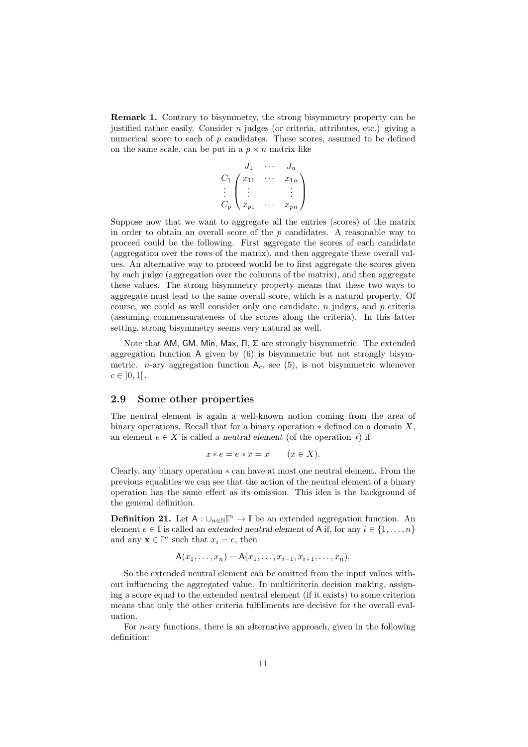**Remark 1.** Contrary to bisymmetry, the strong bisymmetry property can be justified rather easily. Consider *n* judges (or criteria, attributes, etc.) giving a numerical score to each of *p* candidates. These scores, assumed to be defined on the same scale, can be put in a  $p \times n$  matrix like

$$
C_1 \begin{pmatrix} J_1 & \cdots & J_n \\ x_{11} & \cdots & x_{1n} \\ \vdots & & \vdots \\ C_p & x_{p1} & \cdots & x_{pn} \end{pmatrix}
$$

Suppose now that we want to aggregate all the entries (scores) of the matrix in order to obtain an overall score of the *p* candidates. A reasonable way to proceed could be the following. First aggregate the scores of each candidate (aggregation over the rows of the matrix), and then aggregate these overall values. An alternative way to proceed would be to first aggregate the scores given by each judge (aggregation over the columns of the matrix), and then aggregate these values. The strong bisymmetry property means that these two ways to aggregate must lead to the same overall score, which is a natural property. Of course, we could as well consider only one candidate, *n* judges, and *p* criteria (assuming commensurateness of the scores along the criteria). In this latter setting, strong bisymmetry seems very natural as well.

Note that AM*,* GM*,* Min*,* Max*,* Π*,* Σ are strongly bisymmetric. The extended aggregation function A given by (6) is bisymmetric but not strongly bisymmetric. *n*-ary aggregation function  $A_c$ , see (5), is not bisymmetric whenever  $c \in [0,1[$ .

### **2.9 Some other properties**

The neutral element is again a well-known notion coming from the area of binary operations. Recall that for a binary operation *∗* defined on a domain *X*, an element  $e \in X$  is called a *neutral element* (of the operation  $*$ ) if

$$
x * e = e * x = x \qquad (x \in X).
$$

Clearly, any binary operation *∗* can have at most one neutral element. From the previous equalities we can see that the action of the neutral element of a binary operation has the same effect as its omission. This idea is the background of the general definition.

**Definition 21.** Let  $A: \bigcup_{n \in \mathbb{N}} \mathbb{I}^n \to \mathbb{I}$  be an extended aggregation function. An element  $e \in \mathbb{I}$  is called an *extended neutral element* of A if, for any  $i \in \{1, \ldots, n\}$ and any  $\mathbf{x} \in \mathbb{I}^n$  such that  $x_i = e$ , then

$$
A(x_1,\ldots,x_n)=A(x_1,\ldots,x_{i-1},x_{i+1},\ldots,x_n).
$$

So the extended neutral element can be omitted from the input values without influencing the aggregated value. In multicriteria decision making, assigning a score equal to the extended neutral element (if it exists) to some criterion means that only the other criteria fulfillments are decisive for the overall evaluation.

For *n*-ary functions, there is an alternative approach, given in the following definition: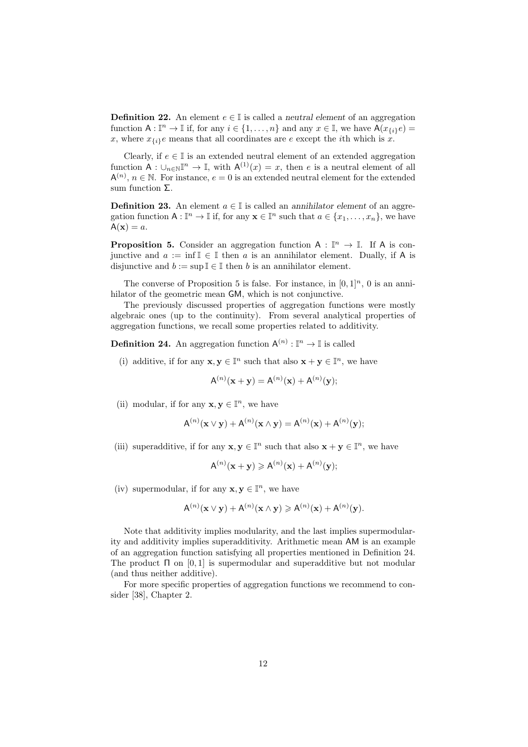**Definition 22.** An element  $e \in \mathbb{I}$  is called a *neutral element* of an aggregation function  $A: \mathbb{I}^n \to \mathbb{I}$  if, for any  $i \in \{1, \ldots, n\}$  and any  $x \in \mathbb{I}$ , we have  $A(x_{\{i\}}e) =$ x, where  $x_{i,i}e$  means that all coordinates are  $e$  except the *i*th which is  $\overline{x}$ .

Clearly, if  $e \in \mathbb{I}$  is an extended neutral element of an extended aggregation function  $A: \bigcup_{n\in\mathbb{N}}\mathbb{I}^n \to \mathbb{I}$ , with  $A^{(1)}(x) = x$ , then *e* is a neutral element of all  $A^{(n)}$ ,  $n \in \mathbb{N}$ . For instance,  $e = 0$  is an extended neutral element for the extended sum function Σ.

**Definition 23.** An element  $a \in \mathbb{I}$  is called an *annihilator element* of an aggregation function  $A: \mathbb{I}^n \to \mathbb{I}$  if, for any  $\mathbf{x} \in \mathbb{I}^n$  such that  $a \in \{x_1, \ldots, x_n\}$ , we have  $A(\mathbf{x}) = a$ .

**Proposition 5.** Consider an aggregation function  $A : \mathbb{I}^n \to \mathbb{I}$ . If A is conjunctive and  $a := \inf \mathbb{I} \in \mathbb{I}$  then  $a$  is an annihilator element. Dually, if A is disjunctive and  $b := \sup \mathbb{I} \in \mathbb{I}$  then *b* is an annihilator element.

The converse of Proposition 5 is false. For instance, in  $[0, 1]^n$ , 0 is an annihilator of the geometric mean **GM**, which is not conjunctive.

The previously discussed properties of aggregation functions were mostly algebraic ones (up to the continuity). From several analytical properties of aggregation functions, we recall some properties related to additivity.

**Definition 24.** An aggregation function  $A^{(n)} : \mathbb{I}^n \to \mathbb{I}$  is called

(i) additive, if for any  $\mathbf{x}, \mathbf{y} \in \mathbb{I}^n$  such that also  $\mathbf{x} + \mathbf{y} \in \mathbb{I}^n$ , we have

$$
A^{(n)}(x + y) = A^{(n)}(x) + A^{(n)}(y);
$$

(ii) modular, if for any  $\mathbf{x}, \mathbf{y} \in \mathbb{I}^n$ , we have

$$
\mathsf{A}^{(n)}(\mathbf{x} \vee \mathbf{y}) + \mathsf{A}^{(n)}(\mathbf{x} \wedge \mathbf{y}) = \mathsf{A}^{(n)}(\mathbf{x}) + \mathsf{A}^{(n)}(\mathbf{y});
$$

(iii) superadditive, if for any  $\mathbf{x}, \mathbf{y} \in \mathbb{I}^n$  such that also  $\mathbf{x} + \mathbf{y} \in \mathbb{I}^n$ , we have

$$
A^{(n)}(x + y) \ge A^{(n)}(x) + A^{(n)}(y);
$$

(iv) supermodular, if for any  $\mathbf{x}, \mathbf{y} \in \mathbb{I}^n$ , we have

$$
A^{(n)}(\mathbf{x} \vee \mathbf{y}) + A^{(n)}(\mathbf{x} \wedge \mathbf{y}) \geqslant A^{(n)}(\mathbf{x}) + A^{(n)}(\mathbf{y}).
$$

Note that additivity implies modularity, and the last implies supermodularity and additivity implies superadditivity. Arithmetic mean AM is an example of an aggregation function satisfying all properties mentioned in Definition 24. The product Π on [0*,* 1] is supermodular and superadditive but not modular (and thus neither additive).

For more specific properties of aggregation functions we recommend to consider [38], Chapter 2.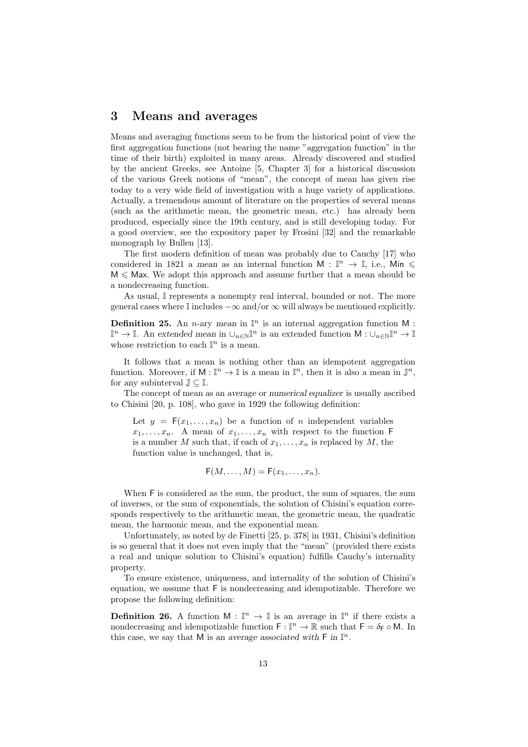## **3 Means and averages**

Means and averaging functions seem to be from the historical point of view the first aggregation functions (not bearing the name "aggregation function" in the time of their birth) exploited in many areas. Already discovered and studied by the ancient Greeks, see Antoine [5, Chapter 3] for a historical discussion of the various Greek notions of "mean", the concept of mean has given rise today to a very wide field of investigation with a huge variety of applications. Actually, a tremendous amount of literature on the properties of several means (such as the arithmetic mean, the geometric mean, etc.) has already been produced, especially since the 19th century, and is still developing today. For a good overview, see the expository paper by Frosini [32] and the remarkable monograph by Bullen [13].

The first modern definition of mean was probably due to Cauchy [17] who considered in 1821 a *mean* as an internal function  $M : \mathbb{I}^n \to \mathbb{I}$ , i.e., Min  $\leq$  $M \leq$  Max. We adopt this approach and assume further that a mean should be a nondecreasing function.

As usual, I represents a nonempty real interval, bounded or not. The more general cases where I includes *−∞* and/or *∞* will always be mentioned explicitly.

**Definition 25.** An *n*-ary *mean* in  $\mathbb{I}^n$  is an internal aggregation function M :  $\mathbb{I}^n$  →  $\mathbb{I}$ . An *extended mean* in  $\cup_{n\in\mathbb{N}}\mathbb{I}^n$  is an extended function  $\mathsf{M}: \cup_{n\in\mathbb{N}}\mathbb{I}^n$  →  $\mathbb{I}$ whose restriction to each  $\mathbb{I}^n$  is a mean.

It follows that a mean is nothing other than an idempotent aggregation function. Moreover, if  $M : \mathbb{I}^n \to \mathbb{I}$  is a mean in  $\mathbb{I}^n$ , then it is also a mean in  $\mathbb{J}^n$ , for any subinterval J *⊆* I.

The concept of mean as an *average* or *numerical equalizer* is usually ascribed to Chisini [20, p. 108], who gave in 1929 the following definition:

Let  $y = F(x_1, \ldots, x_n)$  be a function of *n* independent variables  $x_1, \ldots, x_n$ . A mean of  $x_1, \ldots, x_n$  with respect to the function F is a number *M* such that, if each of  $x_1, \ldots, x_n$  is replaced by *M*, the function value is unchanged, that is,

$$
\mathsf{F}(M,\ldots,M)=\mathsf{F}(x_1,\ldots,x_n).
$$

When  $F$  is considered as the sum, the product, the sum of squares, the sum of inverses, or the sum of exponentials, the solution of Chisini's equation corresponds respectively to the arithmetic mean, the geometric mean, the quadratic mean, the harmonic mean, and the exponential mean.

Unfortunately, as noted by de Finetti [25, p. 378] in 1931, Chisini's definition is so general that it does not even imply that the "mean" (provided there exists a real and unique solution to Chisini's equation) fulfills Cauchy's internality property.

To ensure existence, uniqueness, and internality of the solution of Chisini's equation, we assume that F is nondecreasing and idempotizable. Therefore we propose the following definition:

**Definition 26.** A function  $M : \mathbb{I}^n \to \mathbb{I}$  is an *average* in  $\mathbb{I}^n$  if there exists a nondecreasing and idempotizable function  $F : \mathbb{I}^n \to \mathbb{R}$  such that  $F = \delta_F \circ M$ . In this case, we say that M is an *average associated with*  $\mathsf{F}$  in  $\mathbb{I}^n$ .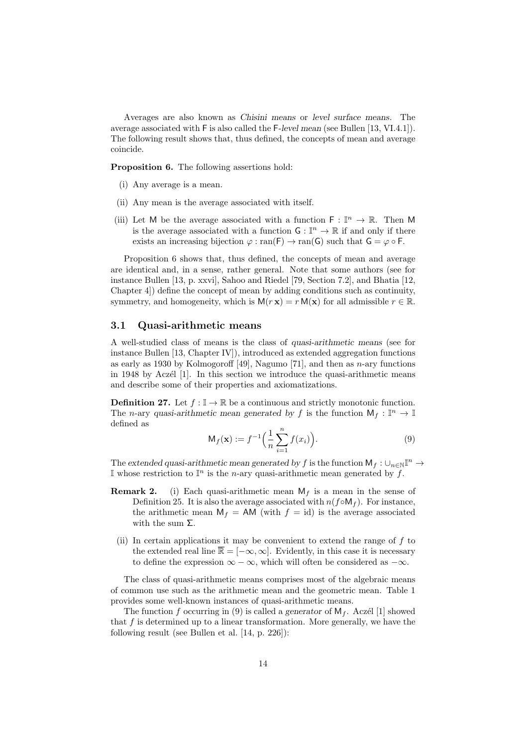Averages are also known as *Chisini means* or *level surface means*. The average associated with F is also called the F*-level mean* (see Bullen [13, VI.4.1]). The following result shows that, thus defined, the concepts of mean and average coincide.

**Proposition 6.** The following assertions hold:

- (i) Any average is a mean.
- (ii) Any mean is the average associated with itself.
- (iii) Let M be the average associated with a function  $\mathsf{F} : \mathbb{I}^n \to \mathbb{R}$ . Then M is the average associated with a function  $\mathsf{G} : \mathbb{I}^n \to \mathbb{R}$  if and only if there exists an increasing bijection  $\varphi : \text{ran}(\mathsf{F}) \to \text{ran}(\mathsf{G})$  such that  $\mathsf{G} = \varphi \circ \mathsf{F}$ .

Proposition 6 shows that, thus defined, the concepts of mean and average are identical and, in a sense, rather general. Note that some authors (see for instance Bullen [13, p. xxvi], Sahoo and Riedel [79, Section 7.2], and Bhatia [12, Chapter 4]) define the concept of mean by adding conditions such as continuity, symmetry, and homogeneity, which is  $M(r x) = r M(x)$  for all admissible  $r \in \mathbb{R}$ .

#### **3.1 Quasi-arithmetic means**

A well-studied class of means is the class of *quasi-arithmetic means* (see for instance Bullen [13, Chapter IV]), introduced as extended aggregation functions as early as 1930 by Kolmogoroff [49], Nagumo [71], and then as *n*-ary functions in 1948 by Aczél [1]. In this section we introduce the quasi-arithmetic means and describe some of their properties and axiomatizations.

**Definition 27.** Let  $f : \mathbb{I} \to \mathbb{R}$  be a continuous and strictly monotonic function. The *n*-ary *quasi-arithmetic mean generated by f* is the function  $M_f : \mathbb{I}^n \to \mathbb{I}$ defined as

$$
\mathsf{M}_f(\mathbf{x}) := f^{-1}\Big(\frac{1}{n}\sum_{i=1}^n f(x_i)\Big). \tag{9}
$$

The extended quasi-arithmetic mean generated by  $f$  is the function  $M_f: \bigcup_{n \in \mathbb{N}} \mathbb{I}^n \to$ I whose restriction to  $\mathbb{I}^n$  is the *n*-ary quasi-arithmetic mean generated by *f*.

- **Remark 2.** (i) Each quasi-arithmetic mean  $M_f$  is a mean in the sense of Definition 25. It is also the average associated with  $n(f \circ M_f)$ . For instance, the arithmetic mean  $M_f = AM$  (with  $f = id$ ) is the average associated with the sum  $\Sigma$ .
	- (ii) In certain applications it may be convenient to extend the range of *f* to the extended real line  $\overline{\mathbb{R}} = [-\infty, \infty]$ . Evidently, in this case it is necessary to define the expression  $\infty - \infty$ , which will often be considered as  $-\infty$ .

The class of quasi-arithmetic means comprises most of the algebraic means of common use such as the arithmetic mean and the geometric mean. Table 1 provides some well-known instances of quasi-arithmetic means.

The function f occurring in (9) is called a *generator* of  $M_f$ . Aczél [1] showed that *f* is determined up to a linear transformation. More generally, we have the following result (see Bullen et al. [14, p. 226]):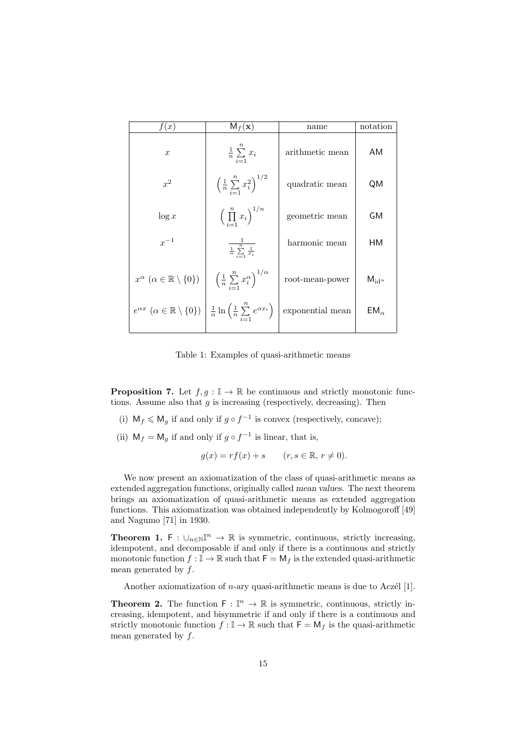| f(x)                                                                                                                                                  | $M_f(\mathbf{x})$                                              | name                             | notation              |
|-------------------------------------------------------------------------------------------------------------------------------------------------------|----------------------------------------------------------------|----------------------------------|-----------------------|
| $\boldsymbol{x}$                                                                                                                                      | $rac{1}{n} \sum_{i=1} x_i$                                     | arithmetic mean                  | AM                    |
| $x^2$                                                                                                                                                 | $\left(\frac{1}{n}\sum_{i=1}^n x_i^2\right)^{1/2}$             | quadratic mean                   | QM                    |
| $\log x$                                                                                                                                              | $\left(\prod_{i=1}^n x_i\right)^{1/n}$                         | geometric mean                   | GM                    |
| $x^{-1}$                                                                                                                                              | $\frac{1}{\frac{1}{n}\sum_{i=1}^n \frac{1}{x_i}}$              | harmonic mean                    | HМ                    |
| $x^{\alpha} \ (\alpha \in \mathbb{R} \setminus \{0\})$                                                                                                | $\left(\frac{1}{n}\sum_{i=1}^n x_i^{\alpha}\right)^{1/\alpha}$ | $\operatorname{root-mean-power}$ | $M_{\rm id}$ $\alpha$ |
| $e^{\alpha x} \ (\alpha \in \mathbb{R} \setminus \{0\}) \left  \frac{1}{\alpha} \ln \left( \frac{1}{n} \sum_{i=1}^{n} e^{\alpha x_i} \right) \right $ |                                                                | $\!$ exponential mean            | $EM_{\alpha}$         |

Table 1: Examples of quasi-arithmetic means

**Proposition 7.** Let  $f, g : \mathbb{I} \to \mathbb{R}$  be continuous and strictly monotonic functions. Assume also that  $g$  is increasing (respectively, decreasing). Then

- (i)  $M_f \leq M_g$  if and only if  $g \circ f^{-1}$  is convex (respectively, concave);
- (ii)  $M_f = M_g$  if and only if  $g \circ f^{-1}$  is linear, that is,

$$
g(x) = rf(x) + s \qquad (r, s \in \mathbb{R}, r \neq 0).
$$

We now present an axiomatization of the class of quasi-arithmetic means as extended aggregation functions, originally called *mean values*. The next theorem brings an axiomatization of quasi-arithmetic means as extended aggregation functions. This axiomatization was obtained independently by Kolmogoroff [49] and Nagumo [71] in 1930.

**Theorem 1.** F :  $\cup_{n\in\mathbb{N}}\mathbb{I}^n$  → R is symmetric, continuous, strictly increasing, idempotent, and decomposable if and only if there is a continuous and strictly monotonic function  $f: \mathbb{I} \to \mathbb{R}$  such that  $\mathsf{F} = \mathsf{M}_f$  is the extended quasi-arithmetic mean generated by *f*.

Another axiomatization of  $n$ -ary quasi-arithmetic means is due to Aczél [1].

**Theorem 2.** The function  $\mathsf{F} : \mathbb{I}^n \to \mathbb{R}$  is symmetric, continuous, strictly increasing, idempotent, and bisymmetric if and only if there is a continuous and strictly monotonic function  $f: \mathbb{I} \to \mathbb{R}$  such that  $\mathsf{F} = \mathsf{M}_f$  is the quasi-arithmetic mean generated by *f*.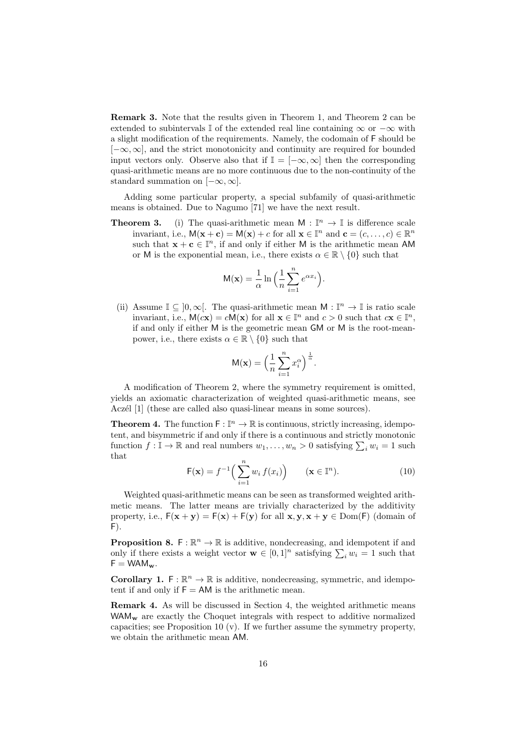**Remark 3.** Note that the results given in Theorem 1, and Theorem 2 can be extended to subintervals I of the extended real line containing *∞* or *−∞* with a slight modification of the requirements. Namely, the codomain of F should be [*−∞,∞*], and the strict monotonicity and continuity are required for bounded input vectors only. Observe also that if  $\mathbb{I} = [-\infty, \infty]$  then the corresponding quasi-arithmetic means are no more continuous due to the non-continuity of the standard summation on [*−∞,∞*].

Adding some particular property, a special subfamily of quasi-arithmetic means is obtained. Due to Nagumo [71] we have the next result.

**Theorem 3.** (i) The quasi-arithmetic mean  $M : \mathbb{I}^n \to \mathbb{I}$  is difference scale invariant, i.e.,  $M(\mathbf{x} + \mathbf{c}) = M(\mathbf{x}) + c$  for all  $\mathbf{x} \in \mathbb{I}^n$  and  $\mathbf{c} = (c, \dots, c) \in \mathbb{R}^n$ such that  $\mathbf{x} + \mathbf{c} \in \mathbb{I}^n$ , if and only if either M is the arithmetic mean AM or M is the exponential mean, i.e., there exists  $\alpha \in \mathbb{R} \setminus \{0\}$  such that

$$
M(\mathbf{x}) = \frac{1}{\alpha} \ln \left( \frac{1}{n} \sum_{i=1}^{n} e^{\alpha x_i} \right).
$$

(ii) Assume  $\mathbb{I} \subseteq ]0,\infty[$ . The quasi-arithmetic mean  $\mathsf{M} : \mathbb{I}^n \to \mathbb{I}$  is ratio scale invariant, i.e.,  $M(cx) = cM(x)$  for all  $x \in \mathbb{I}^n$  and  $c > 0$  such that  $cx \in \mathbb{I}^n$ , if and only if either M is the geometric mean GM or M is the root-meanpower, i.e., there exists  $\alpha \in \mathbb{R} \setminus \{0\}$  such that

$$
M(\mathbf{x}) = \left(\frac{1}{n}\sum_{i=1}^{n} x_i^{\alpha}\right)^{\frac{1}{\alpha}}.
$$

A modification of Theorem 2, where the symmetry requirement is omitted, yields an axiomatic characterization of weighted quasi-arithmetic means, see Aczél [1] (these are called also quasi-linear means in some sources).

**Theorem 4.** The function  $\mathsf{F} : \mathbb{I}^n \to \mathbb{R}$  is continuous, strictly increasing, idempotent, and bisymmetric if and only if there is a continuous and strictly monotonic function  $f: \mathbb{I} \to \mathbb{R}$  and real numbers  $w_1, \ldots, w_n > 0$  satisfying  $\sum_i w_i = 1$  such that

$$
\mathsf{F}(\mathbf{x}) = f^{-1}\Big(\sum_{i=1}^{n} w_i f(x_i)\Big) \qquad (\mathbf{x} \in \mathbb{I}^n). \tag{10}
$$

Weighted quasi-arithmetic means can be seen as transformed weighted arithmetic means. The latter means are trivially characterized by the additivity property, i.e.,  $F(x + y) = F(x) + F(y)$  for all  $x, y, x + y \in Dom(F)$  (domain of  $F$ ).

**Proposition 8.**  $F: \mathbb{R}^n \to \mathbb{R}$  is additive, nondecreasing, and idempotent if and only if there exists a weight vector  $\mathbf{w} \in [0,1]^n$  satisfying  $\sum_i w_i = 1$  such that  $F = WAM_{\mathbf{w}}.$ 

**Corollary 1.**  $F: \mathbb{R}^n \to \mathbb{R}$  is additive, nondecreasing, symmetric, and idempotent if and only if  $F = AM$  is the arithmetic mean.

**Remark 4.** As will be discussed in Section 4, the weighted arithmetic means WAM<sub>w</sub> are exactly the Choquet integrals with respect to additive normalized capacities; see Proposition 10  $(v)$ . If we further assume the symmetry property, we obtain the arithmetic mean AM.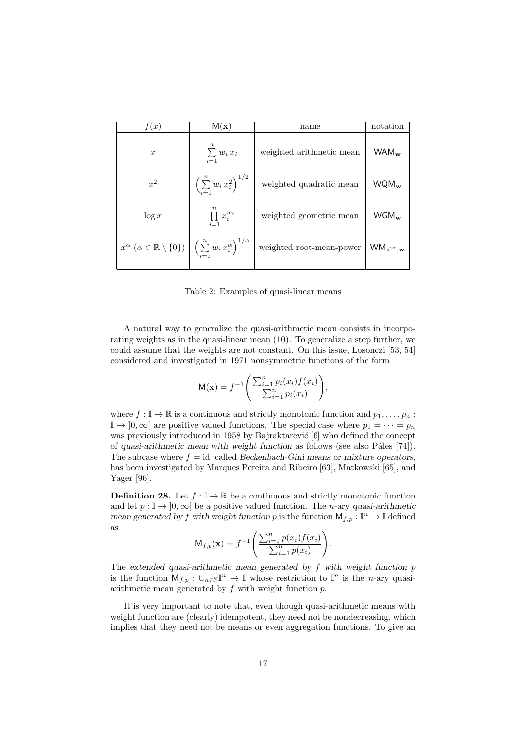| f(x)                                                                                                                  | M(x)                                        | name                                                                         | notation                                      |
|-----------------------------------------------------------------------------------------------------------------------|---------------------------------------------|------------------------------------------------------------------------------|-----------------------------------------------|
| $\boldsymbol{x}$                                                                                                      | $\sum_{i=1} w_i x_i$                        | weighted arithmetic mean                                                     | $WAM_{\mathbf{w}}$                            |
| $x^2$                                                                                                                 | $\left(\sum_{i=1}^n w_i x_i^2\right)^{1/2}$ | weighted quadratic mean                                                      | $WQM_{\mathbf{w}}$                            |
| $\log x$                                                                                                              | $\prod_{i=1} x_i^{w_i}$                     | weighted geometric mean                                                      | $WGM_{\rm w}$                                 |
| $x^{\alpha}$ $(\alpha \in \mathbb{R} \setminus \{0\})$ $\Big \left(\sum_{i=1}^{n} w_i x_i^{\alpha}\right)^{1/\alpha}$ |                                             | $% \left\vert \left( \mathbf{d}\right) \right\vert$ weighted root-mean-power | $\mathsf{WM}_{\mathrm{id}^\alpha,\mathbf{w}}$ |

Table 2: Examples of quasi-linear means

A natural way to generalize the quasi-arithmetic mean consists in incorporating weights as in the quasi-linear mean (10). To generalize a step further, we could assume that the weights are not constant. On this issue, Losonczi [53, 54] considered and investigated in 1971 nonsymmetric functions of the form

$$
M(\mathbf{x}) = f^{-1}\left(\frac{\sum_{i=1}^{n} p_i(x_i) f(x_i)}{\sum_{i=1}^{n} p_i(x_i)}\right),
$$

where  $f: \mathbb{I} \to \mathbb{R}$  is a continuous and strictly monotonic function and  $p_1, \ldots, p_n$ :  $\mathbb{I} \to [0,\infty]$  are positive valued functions. The special case where  $p_1 = \cdots = p_n$ was previously introduced in 1958 by Bajraktarević  $[6]$  who defined the concept of *quasi-arithmetic mean with weight function* as follows (see also Páles [74]). The subcase where  $f = id$ , called *Beckenbach-Gini means* or *mixture operators*, has been investigated by Marques Pereira and Ribeiro [63], Matkowski [65], and Yager [96].

**Definition 28.** Let  $f : \mathbb{I} \to \mathbb{R}$  be a continuous and strictly monotonic function and let  $p: \mathbb{I} \to [0, \infty]$  be a positive valued function. The *n*-ary *quasi-arithmetic mean generated by f* with weight function *p* is the function  $M_{f,p}: \mathbb{I}^n \to \mathbb{I}$  defined as

$$
M_{f,p}(\mathbf{x}) = f^{-1}\left(\frac{\sum_{i=1}^{n} p(x_i) f(x_i)}{\sum_{i=1}^{n} p(x_i)}\right).
$$

The *extended quasi-arithmetic mean generated by f with weight function p* is the function  $M_{f,p}: \bigcup_{n\in\mathbb{N}}\mathbb{I}^n \to \mathbb{I}$  whose restriction to  $\mathbb{I}^n$  is the *n*-ary quasiarithmetic mean generated by *f* with weight function *p*.

It is very important to note that, even though quasi-arithmetic means with weight function are (clearly) idempotent, they need not be nondecreasing, which implies that they need not be means or even aggregation functions. To give an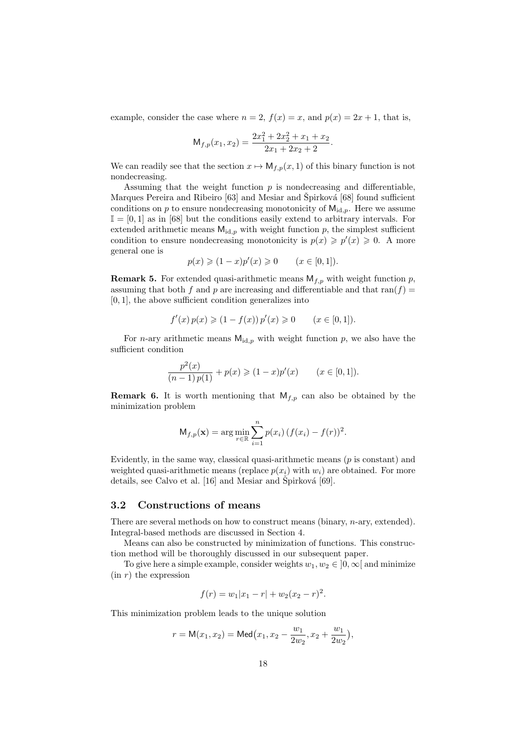example, consider the case where  $n = 2$ ,  $f(x) = x$ , and  $p(x) = 2x + 1$ , that is,

$$
\mathsf{M}_{f,p}(x_1,x_2) = \frac{2x_1^2 + 2x_2^2 + x_1 + x_2}{2x_1 + 2x_2 + 2}.
$$

We can readily see that the section  $x \mapsto M_{f,p}(x,1)$  of this binary function is not nondecreasing.

Assuming that the weight function *p* is nondecreasing and differentiable, Marques Pereira and Ribeiro [63] and Mesiar and Špirková [68] found sufficient conditions on  $p$  to ensure nondecreasing monotonicity of  $M_{id,p}$ . Here we assume  $\mathbb{I} = [0,1]$  as in [68] but the conditions easily extend to arbitrary intervals. For extended arithmetic means  $M_{\text{id},p}$  with weight function  $p$ , the simplest sufficient condition to ensure nondecreasing monotonicity is  $p(x) \geqslant p'(x) \geqslant 0$ . A more general one is

$$
p(x) \ge (1-x)p'(x) \ge 0
$$
  $(x \in [0,1]).$ 

**Remark 5.** For extended quasi-arithmetic means  $M_{f,p}$  with weight function  $p$ , assuming that both  $f$  and  $p$  are increasing and differentiable and that ran( $f$ ) = [0*,* 1], the above sufficient condition generalizes into

$$
f'(x) p(x) \geq (1 - f(x)) p'(x) \geq 0 \qquad (x \in [0, 1]).
$$

For *n*-ary arithmetic means  $M_{id,p}$  with weight function *p*, we also have the sufficient condition

$$
\frac{p^2(x)}{(n-1)\,p(1)} + p(x) \geqslant (1-x)p'(x) \qquad (x \in [0,1]).
$$

**Remark 6.** It is worth mentioning that  $M_{f,p}$  can also be obtained by the minimization problem

$$
\mathsf{M}_{f,p}(\mathbf{x}) = \arg\min_{r \in \mathbb{R}} \sum_{i=1}^{n} p(x_i) \left( f(x_i) - f(r) \right)^2.
$$

Evidently, in the same way, classical quasi-arithmetic means (*p* is constant) and weighted quasi-arithmetic means (replace  $p(x_i)$  with  $w_i$ ) are obtained. For more details, see Calvo et al.  $[16]$  and Mesiar and Špirková  $[69]$ .

#### **3.2 Constructions of means**

There are several methods on how to construct means (binary, *n*-ary, extended). Integral-based methods are discussed in Section 4.

Means can also be constructed by minimization of functions. This construction method will be thoroughly discussed in our subsequent paper.

To give here a simple example, consider weights  $w_1, w_2 \in [0, \infty]$  and minimize (in *r*) the expression

$$
f(r) = w_1|x_1 - r| + w_2(x_2 - r)^2.
$$

This minimization problem leads to the unique solution

$$
r = M(x_1, x_2) = Med(x_1, x_2 - \frac{w_1}{2w_2}, x_2 + \frac{w_1}{2w_2}),
$$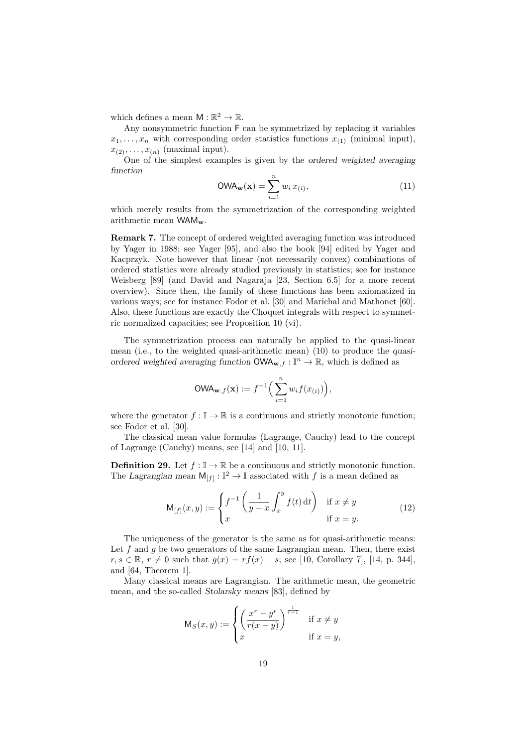which defines a mean  $M : \mathbb{R}^2 \to \mathbb{R}$ .

Any nonsymmetric function F can be symmetrized by replacing it variables  $x_1, \ldots, x_n$  with corresponding order statistics functions  $x_{(1)}$  (minimal input),  $x_{(2)}, \ldots, x_{(n)}$  (maximal input).

One of the simplest examples is given by the *ordered weighted averaging function*

$$
\text{OWA}_{\mathbf{w}}(\mathbf{x}) = \sum_{i=1}^{n} w_i \, x_{(i)},\tag{11}
$$

which merely results from the symmetrization of the corresponding weighted arithmetic mean WAM**w**.

**Remark 7.** The concept of ordered weighted averaging function was introduced by Yager in 1988; see Yager [95], and also the book [94] edited by Yager and Kacprzyk. Note however that linear (not necessarily convex) combinations of ordered statistics were already studied previously in statistics; see for instance Weisberg [89] (and David and Nagaraja [23, Section 6.5] for a more recent overview). Since then, the family of these functions has been axiomatized in various ways; see for instance Fodor et al. [30] and Marichal and Mathonet [60]. Also, these functions are exactly the Choquet integrals with respect to symmetric normalized capacities; see Proposition 10 (vi).

The symmetrization process can naturally be applied to the quasi-linear mean (i.e., to the weighted quasi-arithmetic mean) (10) to produce the *quasiordered weighted averaging function*  $OWA_{\mathbf{w},f}: \mathbb{I}^n \to \mathbb{R}$ , which is defined as

$$
\text{OWA}_{\mathbf{w},f}(\mathbf{x}) := f^{-1}\Big(\sum_{i=1}^n w_i f(x_{(i)})\Big),\,
$$

where the generator  $f : \mathbb{I} \to \mathbb{R}$  is a continuous and strictly monotonic function; see Fodor et al. [30].

The classical mean value formulas (Lagrange, Cauchy) lead to the concept of Lagrange (Cauchy) means, see [14] and [10, 11].

**Definition 29.** Let  $f : \mathbb{I} \to \mathbb{R}$  be a continuous and strictly monotonic function. The *Lagrangian mean*  $M_{[f]} : \mathbb{I}^2 \to \mathbb{I}$  associated with *f* is a mean defined as

$$
\mathsf{M}_{[f]}(x,y) := \begin{cases} f^{-1}\left(\frac{1}{y-x}\int_x^y f(t) \,\mathrm{d}t\right) & \text{if } x \neq y \\ x & \text{if } x = y. \end{cases} \tag{12}
$$

The uniqueness of the generator is the same as for quasi-arithmetic means: Let  $f$  and  $g$  be two generators of the same Lagrangian mean. Then, there exist *r*, *s* ∈ R, *r*  $\neq$  0 such that  $g(x) = rf(x) + s$ ; see [10, Corollary 7], [14, p. 344], and [64, Theorem 1].

Many classical means are Lagrangian. The arithmetic mean, the geometric mean, and the so-called *Stolarsky means* [83], defined by

$$
\mathsf{M}_S(x,y) := \begin{cases} \left(\frac{x^r - y^r}{r(x-y)}\right)^{\frac{1}{r-1}} & \text{if } x \neq y\\ x & \text{if } x = y, \end{cases}
$$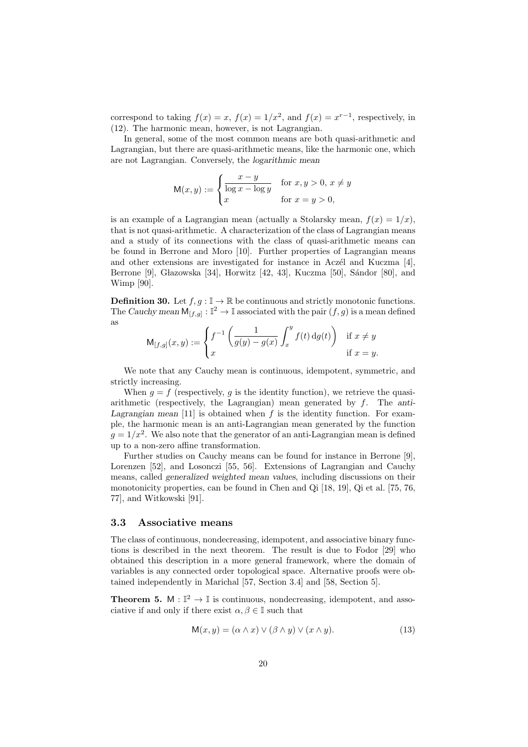correspond to taking  $f(x) = x$ ,  $f(x) = 1/x^2$ , and  $f(x) = x^{r-1}$ , respectively, in (12). The harmonic mean, however, is not Lagrangian.

In general, some of the most common means are both quasi-arithmetic and Lagrangian, but there are quasi-arithmetic means, like the harmonic one, which are not Lagrangian. Conversely, the *logarithmic mean*

$$
M(x, y) := \begin{cases} \frac{x - y}{\log x - \log y} & \text{for } x, y > 0, x \neq y \\ x & \text{for } x = y > 0, \end{cases}
$$

is an example of a Lagrangian mean (actually a Stolarsky mean,  $f(x) = 1/x$ ), that is not quasi-arithmetic. A characterization of the class of Lagrangian means and a study of its connections with the class of quasi-arithmetic means can be found in Berrone and Moro [10]. Further properties of Lagrangian means and other extensions are investigated for instance in Aczél and Kuczma [4], Berrone [9], Głazowska [34], Horwitz [42, 43], Kuczma [50], Sándor [80], and Wimp [90].

**Definition 30.** Let  $f, g : \mathbb{I} \to \mathbb{R}$  be continuous and strictly monotonic functions. The *Cauchy mean*  $M_{[f,g]} : \mathbb{I}^2 \to \mathbb{I}$  associated with the pair  $(f,g)$  is a mean defined as

$$
\mathsf{M}_{[f,g]}(x,y) := \begin{cases} f^{-1}\left(\frac{1}{g(y)-g(x)}\int_x^y f(t)\,\mathrm{d} g(t)\right) & \text{if } x\neq y\\ x & \text{if } x=y. \end{cases}
$$

We note that any Cauchy mean is continuous, idempotent, symmetric, and strictly increasing.

When  $g = f$  (respectively, g is the identity function), we retrieve the quasiarithmetic (respectively, the Lagrangian) mean generated by *f*. The *anti-*Lagrangian mean  $[11]$  is obtained when  $f$  is the identity function. For example, the harmonic mean is an anti-Lagrangian mean generated by the function  $g = 1/x^2$ . We also note that the generator of an anti-Lagrangian mean is defined up to a non-zero affine transformation.

Further studies on Cauchy means can be found for instance in Berrone [9], Lorenzen [52], and Losonczi [55, 56]. Extensions of Lagrangian and Cauchy means, called *generalized weighted mean values*, including discussions on their monotonicity properties, can be found in Chen and Qi [18, 19], Qi et al. [75, 76, 77], and Witkowski [91].

### **3.3 Associative means**

The class of continuous, nondecreasing, idempotent, and associative binary functions is described in the next theorem. The result is due to Fodor [29] who obtained this description in a more general framework, where the domain of variables is any connected order topological space. Alternative proofs were obtained independently in Marichal [57, Section 3.4] and [58, Section 5].

**Theorem 5.**  $M : \mathbb{I}^2 \to \mathbb{I}$  is continuous, nondecreasing, idempotent, and associative if and only if there exist  $\alpha, \beta \in \mathbb{I}$  such that

$$
M(x, y) = (\alpha \wedge x) \vee (\beta \wedge y) \vee (x \wedge y). \tag{13}
$$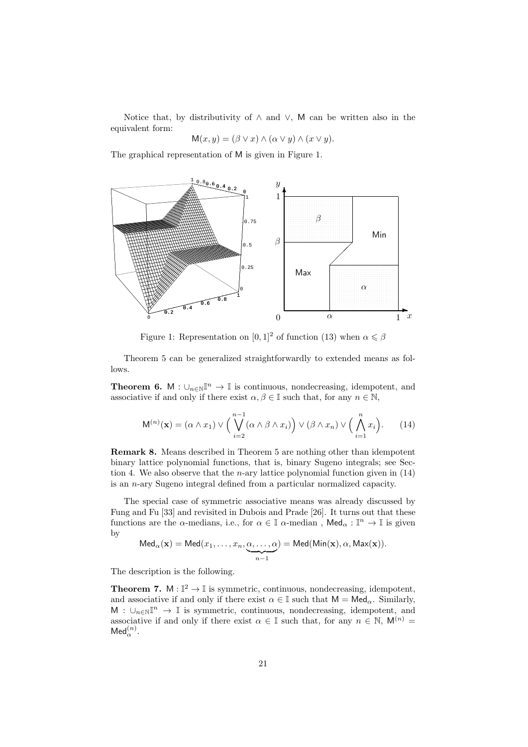Notice that, by distributivity of *∧* and *∨*, M can be written also in the equivalent form:

$$
M(x, y) = (\beta \vee x) \wedge (\alpha \vee y) \wedge (x \vee y).
$$

The graphical representation of M is given in Figure 1.



Figure 1: Representation on  $[0, 1]^2$  of function (13) when  $\alpha \leq \beta$ 

Theorem 5 can be generalized straightforwardly to extended means as follows.

**Theorem 6.** M :  $\cup_{n\in\mathbb{N}}\mathbb{I}^n$   $\rightarrow$  I is continuous, nondecreasing, idempotent, and associative if and only if there exist  $\alpha, \beta \in \mathbb{I}$  such that, for any  $n \in \mathbb{N}$ ,

$$
\mathsf{M}^{(n)}(\mathbf{x}) = (\alpha \wedge x_1) \vee \Big(\bigvee_{i=2}^{n-1} (\alpha \wedge \beta \wedge x_i)\Big) \vee (\beta \wedge x_n) \vee \Big(\bigwedge_{i=1}^{n} x_i\Big). \tag{14}
$$

**Remark 8.** Means described in Theorem 5 are nothing other than idempotent binary lattice polynomial functions, that is, binary Sugeno integrals; see Section 4. We also observe that the *n*-ary lattice polynomial function given in (14) is an *n*-ary Sugeno integral defined from a particular normalized capacity.

The special case of symmetric associative means was already discussed by Fung and Fu [33] and revisited in Dubois and Prade [26]. It turns out that these functions are the *α*-medians, i.e., for  $\alpha \in \mathbb{I}$  *α*-median,  $\mathsf{Med}_{\alpha} : \mathbb{I}^n \to \mathbb{I}$  is given by

$$
\mathsf{Med}_\alpha(\mathbf{x}) = \mathsf{Med}(x_1, \ldots, x_n, \underbrace{\alpha, \ldots, \alpha}_{n-1}) = \mathsf{Med}(\mathsf{Min}(\mathbf{x}), \alpha, \mathsf{Max}(\mathbf{x})).
$$

The description is the following.

**Theorem 7.**  $M : \mathbb{I}^2 \to \mathbb{I}$  is symmetric, continuous, nondecreasing, idempotent, and associative if and only if there exist  $\alpha \in \mathbb{I}$  such that  $M = Med_{\alpha}$ . Similarly, M : *∪<sup>n</sup>∈*NI *<sup>n</sup> →* I is symmetric, continuous, nondecreasing, idempotent, and associative if and only if there exist  $\alpha \in \mathbb{I}$  such that, for any  $n \in \mathbb{N}$ ,  $\mathsf{M}^{(n)}$  =  $\mathsf{Med}^{(n)}_\alpha$ .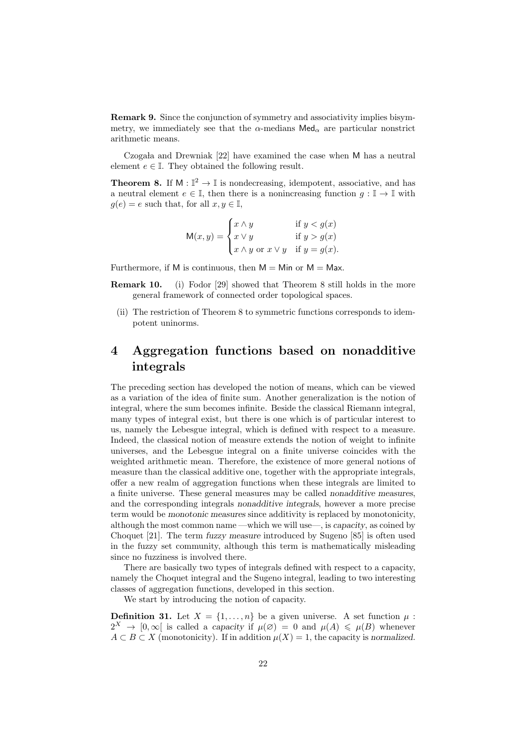**Remark 9.** Since the conjunction of symmetry and associativity implies bisymmetry, we immediately see that the  $\alpha$ -medians Med<sub> $\alpha$ </sub> are particular nonstrict arithmetic means.

Czogała and Drewniak  $[22]$  have examined the case when M has a neutral element  $e \in \mathbb{I}$ . They obtained the following result.

**Theorem 8.** If  $M : \mathbb{I}^2 \to \mathbb{I}$  is nondecreasing, idempotent, associative, and has a neutral element  $e \in \mathbb{I}$ , then there is a nonincreasing function  $q : \mathbb{I} \to \mathbb{I}$  with  $g(e) = e$  such that, for all  $x, y \in \mathbb{I}$ ,

$$
\mathsf{M}(x,y) = \begin{cases} x \wedge y & \text{if } y < g(x) \\ x \vee y & \text{if } y > g(x) \\ x \wedge y & \text{or } x \vee y & \text{if } y = g(x). \end{cases}
$$

Furthermore, if M is continuous, then  $M = Min$  or  $M = Max$ .

- **Remark 10.** (i) Fodor [29] showed that Theorem 8 still holds in the more general framework of connected order topological spaces.
- (ii) The restriction of Theorem 8 to symmetric functions corresponds to idempotent uninorms.

# **4 Aggregation functions based on nonadditive integrals**

The preceding section has developed the notion of means, which can be viewed as a variation of the idea of finite sum. Another generalization is the notion of integral, where the sum becomes infinite. Beside the classical Riemann integral, many types of integral exist, but there is one which is of particular interest to us, namely the Lebesgue integral, which is defined with respect to a measure. Indeed, the classical notion of measure extends the notion of weight to infinite universes, and the Lebesgue integral on a finite universe coincides with the weighted arithmetic mean. Therefore, the existence of more general notions of measure than the classical additive one, together with the appropriate integrals, offer a new realm of aggregation functions when these integrals are limited to a finite universe. These general measures may be called *nonadditive measures*, and the corresponding integrals *nonadditive integrals*, however a more precise term would be *monotonic measures* since additivity is replaced by monotonicity, although the most common name —which we will use—, is *capacity*, as coined by Choquet [21]. The term *fuzzy measure* introduced by Sugeno [85] is often used in the fuzzy set community, although this term is mathematically misleading since no fuzziness is involved there.

There are basically two types of integrals defined with respect to a capacity, namely the Choquet integral and the Sugeno integral, leading to two interesting classes of aggregation functions, developed in this section.

We start by introducing the notion of capacity.

**Definition 31.** Let  $X = \{1, \ldots, n\}$  be a given universe. A set function  $\mu$ :  $2^X \rightarrow [0, \infty]$  is called a *capacity* if  $\mu(\emptyset) = 0$  and  $\mu(A) \leq \mu(B)$  whenever  $A \subset B \subset X$  (monotonicity). If in addition  $\mu(X) = 1$ , the capacity is *normalized*.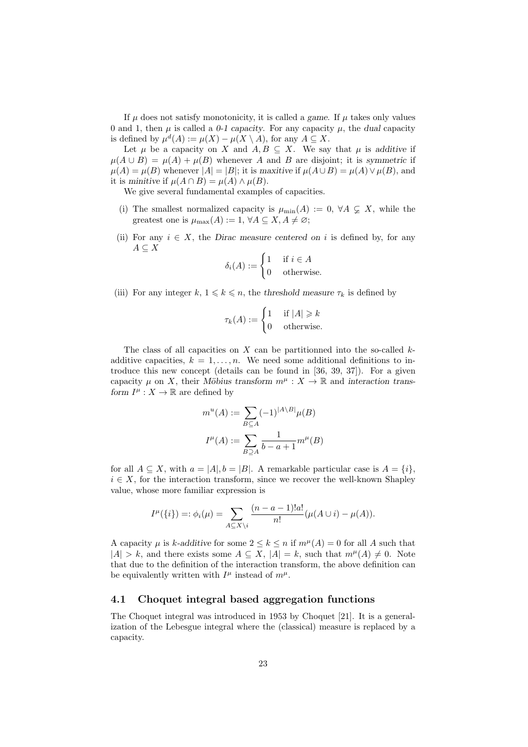If  $\mu$  does not satisfy monotonicity, it is called a *game*. If  $\mu$  takes only values 0 and 1, then  $\mu$  is called a 0-1 capacity. For any capacity  $\mu$ , the *dual* capacity is defined by  $\mu^d(A) := \mu(X) - \mu(X \setminus A)$ , for any  $A \subseteq X$ .

Let  $\mu$  be a capacity on *X* and  $A, B \subseteq X$ . We say that  $\mu$  is additive if  $\mu(A \cup B) = \mu(A) + \mu(B)$  whenever *A* and *B* are disjoint; it is *symmetric* if  $\mu(A) = \mu(B)$  whenever  $|A| = |B|$ ; it is *maxitive* if  $\mu(A \cup B) = \mu(A) \vee \mu(B)$ , and it is *minitive* if  $\mu(A \cap B) = \mu(A) \wedge \mu(B)$ .

We give several fundamental examples of capacities.

- (i) The smallest normalized capacity is  $\mu_{\min}(A) := 0, \forall A \subsetneq X$ , while the greatest one is  $\mu_{\text{max}}(A) := 1, \forall A \subseteq X, A \neq \emptyset;$
- (ii) For any  $i \in X$ , the *Dirac measure centered on*  $i$  is defined by, for any *A ⊆ X*

$$
\delta_i(A) := \begin{cases} 1 & \text{if } i \in A \\ 0 & \text{otherwise.} \end{cases}
$$

(iii) For any integer  $k, 1 \leq k \leq n$ , the *threshold measure*  $\tau_k$  is defined by

$$
\tau_k(A) := \begin{cases} 1 & \text{if } |A| \ge k \\ 0 & \text{otherwise.} \end{cases}
$$

The class of all capacities on *X* can be partitionned into the so-called *k*additive capacities,  $k = 1, \ldots, n$ . We need some additional definitions to introduce this new concept (details can be found in [36, 39, 37]). For a given capacity  $\mu$  on *X*, their *M*öbius transform  $m^{\mu}: X \to \mathbb{R}$  and interaction trans*form*  $I^{\mu}: X \to \mathbb{R}$  are defined by

$$
m^{u}(A) := \sum_{B \subseteq A} (-1)^{|A \setminus B|} \mu(B)
$$

$$
I^{\mu}(A) := \sum_{B \supseteq A} \frac{1}{b - a + 1} m^{\mu}(B)
$$

for all  $A \subseteq X$ , with  $a = |A|, b = |B|$ . A remarkable particular case is  $A = \{i\}$ ,  $i \in X$ , for the interaction transform, since we recover the well-known Shapley value, whose more familiar expression is

$$
I^{\mu}(\{i\}) =: \phi_i(\mu) = \sum_{A \subseteq X \setminus i} \frac{(n-a-1)!a!}{n!} (\mu(A \cup i) - \mu(A)).
$$

A capacity  $\mu$  is *k*-additive for some  $2 \leq k \leq n$  if  $m^{\mu}(A) = 0$  for all A such that  $|A| > k$ , and there exists some  $A \subseteq X$ ,  $|A| = k$ , such that  $m^{\mu}(A) \neq 0$ . Note that due to the definition of the interaction transform, the above definition can be equivalently written with  $I^{\mu}$  instead of  $m^{\mu}$ .

### **4.1 Choquet integral based aggregation functions**

The Choquet integral was introduced in 1953 by Choquet [21]. It is a generalization of the Lebesgue integral where the (classical) measure is replaced by a capacity.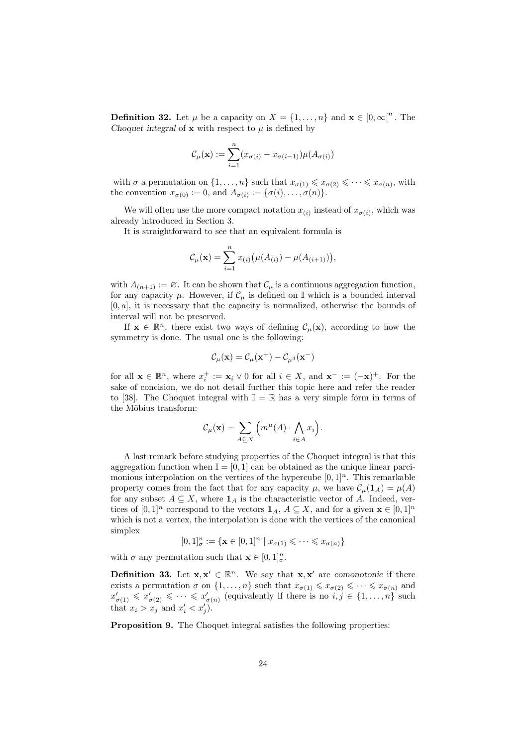**Definition 32.** Let  $\mu$  be a capacity on  $X = \{1, \ldots, n\}$  and  $\mathbf{x} \in [0, \infty]^n$ . The *Choquet integral* of **x** with respect to  $\mu$  is defined by

$$
\mathcal{C}_{\mu}(\mathbf{x}) := \sum_{i=1}^{n} (x_{\sigma(i)} - x_{\sigma(i-1)}) \mu(A_{\sigma(i)})
$$

with  $\sigma$  a permutation on  $\{1, \ldots, n\}$  such that  $x_{\sigma(1)} \leqslant x_{\sigma(2)} \leqslant \cdots \leqslant x_{\sigma(n)}$ , with the convention  $x_{\sigma(0)} := 0$ , and  $A_{\sigma(i)} := {\sigma(i), \ldots, \sigma(n)}$ .

We will often use the more compact notation  $x_{(i)}$  instead of  $x_{\sigma(i)}$ , which was already introduced in Section 3.

It is straightforward to see that an equivalent formula is

$$
C_{\mu}(\mathbf{x}) = \sum_{i=1}^{n} x_{(i)} (\mu(A_{(i)}) - \mu(A_{(i+1)})),
$$

with  $A_{(n+1)} := \emptyset$ . It can be shown that  $\mathcal{C}_{\mu}$  is a continuous aggregation function, for any capacity  $\mu$ . However, if  $\mathcal{C}_{\mu}$  is defined on  $\mathbb{I}$  which is a bounded interval [0*, a*], it is necessary that the capacity is normalized, otherwise the bounds of interval will not be preserved.

If  $\mathbf{x} \in \mathbb{R}^n$ , there exist two ways of defining  $\mathcal{C}_{\mu}(\mathbf{x})$ , according to how the symmetry is done. The usual one is the following:

$$
\mathcal{C}_{\mu}(\mathbf{x}) = \mathcal{C}_{\mu}(\mathbf{x}^{+}) - \mathcal{C}_{\mu^{d}}(\mathbf{x}^{-})
$$

for all  $\mathbf{x} \in \mathbb{R}^n$ , where  $x_i^+ := \mathbf{x}_i \vee 0$  for all  $i \in X$ , and  $\mathbf{x}^- := (-\mathbf{x})^+$ . For the sake of concision, we do not detail further this topic here and refer the reader to [38]. The Choquet integral with  $\mathbb{I} = \mathbb{R}$  has a very simple form in terms of the Möbius transform:

$$
\mathcal{C}_{\mu}(\mathbf{x}) = \sum_{A \subseteq X} \left( m^{\mu}(A) \cdot \bigwedge_{i \in A} x_i \right).
$$

A last remark before studying properties of the Choquet integral is that this aggregation function when  $\mathbb{I} = [0, 1]$  can be obtained as the unique linear parcimonious interpolation on the vertices of the hypercube  $[0, 1]^n$ . This remarkable property comes from the fact that for any capacity  $\mu$ , we have  $\mathcal{C}_{\mu}(\mathbf{1}_A) = \mu(A)$ for any subset  $A \subseteq X$ , where  $\mathbf{1}_A$  is the characteristic vector of  $A$ . Indeed, vertices of  $[0,1]^n$  correspond to the vectors  $\mathbf{1}_A$ ,  $A \subseteq X$ , and for a given  $\mathbf{x} \in [0,1]^n$ which is not a vertex, the interpolation is done with the vertices of the canonical simplex

$$
[0,1]_{\sigma}^{n} := \{ \mathbf{x} \in [0,1]^{n} \mid x_{\sigma(1)} \leqslant \cdots \leqslant x_{\sigma(n)} \}
$$

with  $\sigma$  any permutation such that  $\mathbf{x} \in [0, 1]_{\sigma}^{n}$ .

**Definition 33.** Let  $\mathbf{x}, \mathbf{x}' \in \mathbb{R}^n$ . We say that  $\mathbf{x}, \mathbf{x}'$  are *comonotonic* if there exists a permutation  $\sigma$  on  $\{1, \ldots, n\}$  such that  $x_{\sigma(1)} \leq x_{\sigma(2)} \leq \cdots \leq x_{\sigma(n)}$  and  $x'_{\sigma(1)} \leq x'_{\sigma(2)} \leq \cdots \leq x'_{\sigma(n)}$  (equivalently if there is no  $i, j \in \{1, \ldots, n\}$  such that  $x_i > x_j$  and  $x'_i < x'_j$ .

**Proposition 9.** The Choquet integral satisfies the following properties: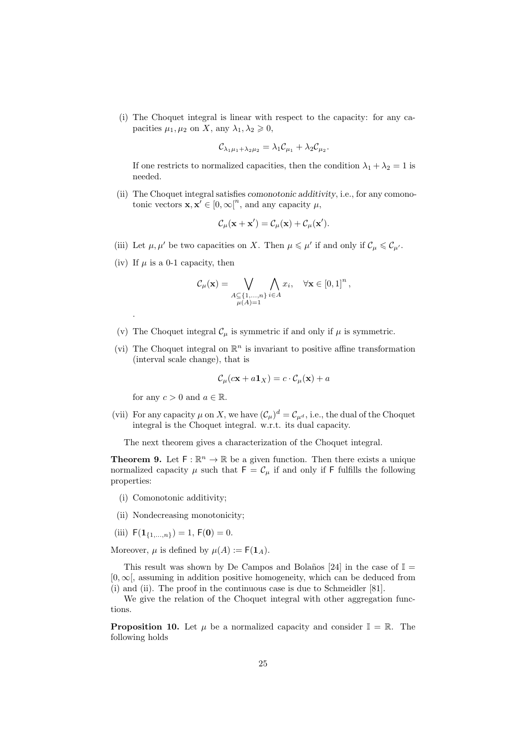(i) The Choquet integral is linear with respect to the capacity: for any capacities  $\mu_1, \mu_2$  on *X*, any  $\lambda_1, \lambda_2 \geq 0$ ,

$$
\mathcal{C}_{\lambda_1\mu_1+\lambda_2\mu_2}=\lambda_1\mathcal{C}_{\mu_1}+\lambda_2\mathcal{C}_{\mu_2}.
$$

If one restricts to normalized capacities, then the condition  $\lambda_1 + \lambda_2 = 1$  is needed.

(ii) The Choquet integral satisfies *comonotonic additivity*, i.e., for any comonotonic vectors  $\mathbf{x}, \mathbf{x}' \in [0, \infty]^n$ , and any capacity  $\mu$ ,

$$
\mathcal{C}_{\mu}(\mathbf{x} + \mathbf{x}') = \mathcal{C}_{\mu}(\mathbf{x}) + \mathcal{C}_{\mu}(\mathbf{x}').
$$

- (iii) Let  $\mu, \mu'$  be two capacities on *X*. Then  $\mu \leq \mu'$  if and only if  $\mathcal{C}_{\mu} \leq \mathcal{C}_{\mu'}$ .
- (iv) If  $\mu$  is a 0-1 capacity, then

.

$$
\mathcal{C}_{\mu}(\mathbf{x}) = \bigvee_{\substack{A \subseteq \{1,\ldots,n\} \\ \mu(A) = 1}} \bigwedge_{i \in A} x_i, \quad \forall \mathbf{x} \in [0,1]^n,
$$

- (v) The Choquet integral  $\mathcal{C}_{\mu}$  is symmetric if and only if  $\mu$  is symmetric.
- (vi) The Choquet integral on  $\mathbb{R}^n$  is invariant to positive affine transformation (interval scale change), that is

$$
\mathcal{C}_{\mu}(\mathbf{c}\mathbf{x} + a\mathbf{1}_X) = c \cdot \mathcal{C}_{\mu}(\mathbf{x}) + a
$$

for any  $c > 0$  and  $a \in \mathbb{R}$ .

(vii) For any capacity  $\mu$  on X, we have  $(\mathcal{C}_{\mu})^d = \mathcal{C}_{\mu^d}$ , i.e., the dual of the Choquet integral is the Choquet integral. w.r.t. its dual capacity.

The next theorem gives a characterization of the Choquet integral.

**Theorem 9.** Let  $F: \mathbb{R}^n \to \mathbb{R}$  be a given function. Then there exists a unique normalized capacity  $\mu$  such that  $F = C_{\mu}$  if and only if F fulfills the following properties:

- (i) Comonotonic additivity;
- (ii) Nondecreasing monotonicity;
- (iii)  $F(\mathbf{1}_{\{1,\ldots,n\}}) = 1, F(\mathbf{0}) = 0.$

Moreover,  $\mu$  is defined by  $\mu(A) := F(\mathbf{1}_A)$ .

This result was shown by De Campos and Bolaños [24] in the case of  $\mathbb{I} =$ [0*,∞*[, assuming in addition positive homogeneity, which can be deduced from (i) and (ii). The proof in the continuous case is due to Schmeidler [81].

We give the relation of the Choquet integral with other aggregation functions.

**Proposition 10.** Let  $\mu$  be a normalized capacity and consider  $\mathbb{I} = \mathbb{R}$ . The following holds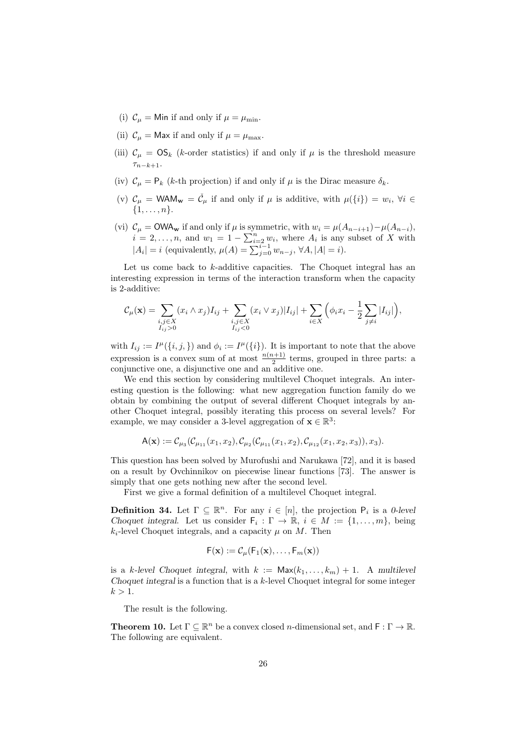- (i)  $C_{\mu} =$  Min if and only if  $\mu = \mu_{\min}$ .
- (ii)  $C_{\mu}$  = Max if and only if  $\mu = \mu_{\text{max}}$ .
- (iii)  $C_{\mu} = OS_{k}$  (*k*-order statistics) if and only if  $\mu$  is the threshold measure *τ<sup>n</sup>−k*+1.
- (iv)  $C_{\mu} = P_{k}$  (*k*-th projection) if and only if  $\mu$  is the Dirac measure  $\delta_{k}$ .
- (v)  $\mathcal{C}_{\mu} = \mathsf{WAM}_{\mathbf{w}} = \check{\mathcal{C}}_{\mu}$  if and only if  $\mu$  is additive, with  $\mu({i}) = w_i$ ,  $\forall i \in$ *{*1*, . . . , n}*.
- (vi)  $\mathcal{C}_{\mu} = \text{OWA}_{\mathbf{w}}$  if and only if  $\mu$  is symmetric, with  $w_i = \mu(A_{n-i+1}) \mu(A_{n-i}),$  $i = 2, \ldots, n$ , and  $w_1 = 1 - \sum_{i=2}^n w_i$ , where  $A_i$  is any subset of *X* with *|A<sub>i</sub>*</sub> $| = i$  (equivalently,  $\mu(A) = \sum_{j=0}^{i-1} w_{n-j}$ ,  $\forall A, |A| = i$ ).

Let us come back to *k*-additive capacities. The Choquet integral has an interesting expression in terms of the interaction transform when the capacity is 2-additive:

$$
\mathcal{C}_{\mu}(\mathbf{x}) = \sum_{\substack{i,j \in X \\ I_{ij} > 0}} (x_i \wedge x_j) I_{ij} + \sum_{\substack{i,j \in X \\ I_{ij} < 0}} (x_i \vee x_j) |I_{ij}| + \sum_{i \in X} \left( \phi_i x_i - \frac{1}{2} \sum_{j \neq i} |I_{ij}| \right),
$$

with  $I_{ij} := I^{\mu}(\{i, j, \})$  and  $\phi_i := I^{\mu}(\{i\})$ . It is important to note that the above expression is a convex sum of at most  $\frac{n(n+1)}{2}$  terms, grouped in three parts: a conjunctive one, a disjunctive one and an additive one.

We end this section by considering multilevel Choquet integrals. An interesting question is the following: what new aggregation function family do we obtain by combining the output of several different Choquet integrals by another Choquet integral, possibly iterating this process on several levels? For example, we may consider a 3-level aggregation of  $\mathbf{x} \in \mathbb{R}^3$ :

$$
A(\mathbf{x}) := \mathcal{C}_{\mu_3}(\mathcal{C}_{\mu_{11}}(x_1, x_2), \mathcal{C}_{\mu_2}(\mathcal{C}_{\mu_{11}}(x_1, x_2), \mathcal{C}_{\mu_{12}}(x_1, x_2, x_3)), x_3).
$$

This question has been solved by Murofushi and Narukawa [72], and it is based on a result by Ovchinnikov on piecewise linear functions [73]. The answer is simply that one gets nothing new after the second level.

First we give a formal definition of a multilevel Choquet integral.

**Definition 34.** Let  $\Gamma \subseteq \mathbb{R}^n$ . For any  $i \in [n]$ , the projection  $P_i$  is a *0-level Choquet integral.* Let us consider  $\mathsf{F}_i : \Gamma \to \mathbb{R}, i \in M := \{1, \ldots, m\}$ , being  $k_i$ -level Choquet integrals, and a capacity  $\mu$  on *M*. Then

$$
F(\mathbf{x}) := \mathcal{C}_{\mu}(F_1(\mathbf{x}), \dots, F_m(\mathbf{x}))
$$

is a *k*-level Choquet integral, with  $k := \text{Max}(k_1, \ldots, k_m) + 1$ . A multilevel *Choquet integral* is a function that is a *k*-level Choquet integral for some integer  $k > 1$ .

The result is the following.

**Theorem 10.** Let  $\Gamma \subseteq \mathbb{R}^n$  be a convex closed *n*-dimensional set, and  $\mathsf{F} : \Gamma \to \mathbb{R}$ . The following are equivalent.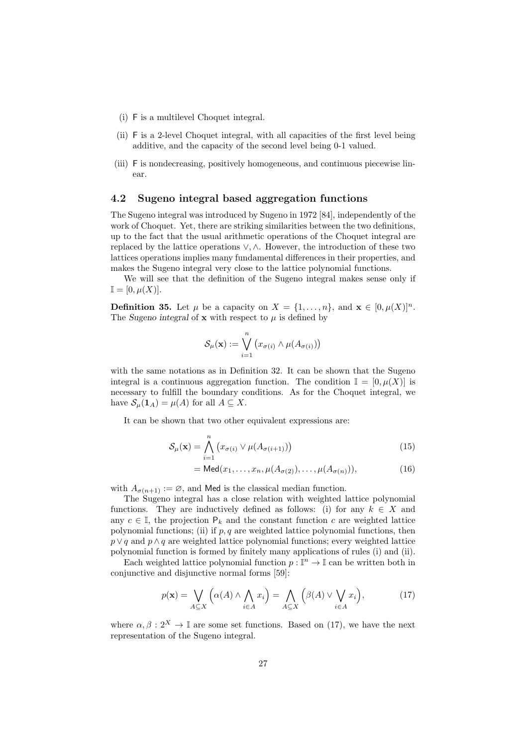- (i) F is a multilevel Choquet integral.
- (ii) F is a 2-level Choquet integral, with all capacities of the first level being additive, and the capacity of the second level being 0-1 valued.
- (iii) F is nondecreasing, positively homogeneous, and continuous piecewise linear.

## **4.2 Sugeno integral based aggregation functions**

The Sugeno integral was introduced by Sugeno in 1972 [84], independently of the work of Choquet. Yet, there are striking similarities between the two definitions, up to the fact that the usual arithmetic operations of the Choquet integral are replaced by the lattice operations *∨,∧*. However, the introduction of these two lattices operations implies many fundamental differences in their properties, and makes the Sugeno integral very close to the lattice polynomial functions.

We will see that the definition of the Sugeno integral makes sense only if  $\mathbb{I} = [0, \mu(X)].$ 

**Definition 35.** Let  $\mu$  be a capacity on  $X = \{1, \ldots, n\}$ , and  $\mathbf{x} \in [0, \mu(X)]^n$ . The *Sugeno* integral of **x** with respect to  $\mu$  is defined by

$$
\mathcal{S}_{\mu}(\mathbf{x}) := \bigvee_{i=1}^{n} (x_{\sigma(i)} \wedge \mu(A_{\sigma(i)}))
$$

with the same notations as in Definition 32. It can be shown that the Sugeno integral is a continuous aggregation function. The condition  $\mathbb{I} = [0, \mu(X)]$  is necessary to fulfill the boundary conditions. As for the Choquet integral, we have  $S_\mu(\mathbf{1}_A) = \mu(A)$  for all  $A \subseteq X$ .

It can be shown that two other equivalent expressions are:

$$
\mathcal{S}_{\mu}(\mathbf{x}) = \bigwedge_{i=1}^{n} \left( x_{\sigma(i)} \vee \mu(A_{\sigma(i+1)}) \right)
$$
(15)

$$
= \mathsf{Med}(x_1, \dots, x_n, \mu(A_{\sigma(2)}), \dots, \mu(A_{\sigma(n)})), \tag{16}
$$

with  $A_{\sigma(n+1)} := \emptyset$ , and Med is the classical median function.

The Sugeno integral has a close relation with weighted lattice polynomial functions. They are inductively defined as follows: (i) for any  $k \in X$  and any  $c \in \mathbb{I}$ , the projection  $P_k$  and the constant function  $c$  are weighted lattice polynomial functions; (ii) if *p, q* are weighted lattice polynomial functions, then *p*  $\lor$  *q* and *p*  $\land$  *q* are weighted lattice polynomial functions; every weighted lattice polynomial function is formed by finitely many applications of rules (i) and (ii).

Each weighted lattice polynomial function  $p: \mathbb{I}^n \to \mathbb{I}$  can be written both in conjunctive and disjunctive normal forms [59]:

$$
p(\mathbf{x}) = \bigvee_{A \subseteq X} \left( \alpha(A) \land \bigwedge_{i \in A} x_i \right) = \bigwedge_{A \subseteq X} \left( \beta(A) \lor \bigvee_{i \in A} x_i \right),\tag{17}
$$

where  $\alpha, \beta : 2^X \to \mathbb{I}$  are some set functions. Based on (17), we have the next representation of the Sugeno integral.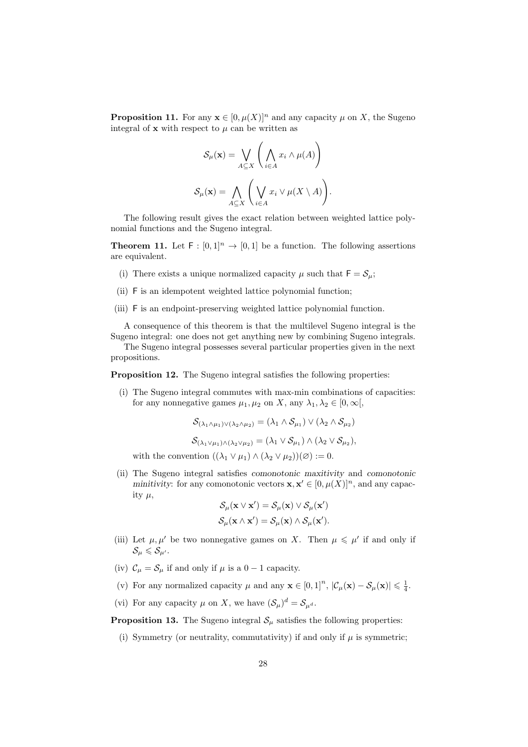**Proposition 11.** For any  $\mathbf{x} \in [0, \mu(X)]^n$  and any capacity  $\mu$  on X, the Sugeno integral of **x** with respect to  $\mu$  can be written as

$$
\mathcal{S}_{\mu}(\mathbf{x}) = \bigvee_{A \subseteq X} \left( \bigwedge_{i \in A} x_i \wedge \mu(A) \right)
$$

$$
\mathcal{S}_{\mu}(\mathbf{x}) = \bigwedge_{A \subseteq X} \left( \bigvee_{i \in A} x_i \vee \mu(X \setminus A) \right).
$$

The following result gives the exact relation between weighted lattice polynomial functions and the Sugeno integral.

**Theorem 11.** Let  $F : [0,1]^n \to [0,1]$  be a function. The following assertions are equivalent.

- (i) There exists a unique normalized capacity  $\mu$  such that  $F = S_{\mu}$ ;
- (ii) F is an idempotent weighted lattice polynomial function;
- (iii) F is an endpoint-preserving weighted lattice polynomial function.

A consequence of this theorem is that the multilevel Sugeno integral is the Sugeno integral: one does not get anything new by combining Sugeno integrals.

The Sugeno integral possesses several particular properties given in the next propositions.

**Proposition 12.** The Sugeno integral satisfies the following properties:

(i) The Sugeno integral commutes with max-min combinations of capacities: for any nonnegative games  $\mu_1, \mu_2$  on *X*, any  $\lambda_1, \lambda_2 \in [0, \infty],$ 

$$
\mathcal{S}_{(\lambda_1 \wedge \mu_1) \vee (\lambda_2 \wedge \mu_2)} = (\lambda_1 \wedge \mathcal{S}_{\mu_1}) \vee (\lambda_2 \wedge \mathcal{S}_{\mu_2})
$$
  

$$
\mathcal{S}_{(\lambda_1 \vee \mu_1) \wedge (\lambda_2 \vee \mu_2)} = (\lambda_1 \vee \mathcal{S}_{\mu_1}) \wedge (\lambda_2 \vee \mathcal{S}_{\mu_2}),
$$

with the convention  $((\lambda_1 \vee \mu_1) \wedge (\lambda_2 \vee \mu_2))(\emptyset) := 0$ .

(ii) The Sugeno integral satisfies *comonotonic maxitivity* and *comonotonic minitivity*: for any comonotonic vectors  $\mathbf{x}, \mathbf{x}' \in [0, \mu(X)]^n$ , and any capacity  $\mu$ ,

$$
\mathcal{S}_{\mu}(\mathbf{x} \vee \mathbf{x}') = \mathcal{S}_{\mu}(\mathbf{x}) \vee \mathcal{S}_{\mu}(\mathbf{x}')
$$
  

$$
\mathcal{S}_{\mu}(\mathbf{x} \wedge \mathbf{x}') = \mathcal{S}_{\mu}(\mathbf{x}) \wedge \mathcal{S}_{\mu}(\mathbf{x}').
$$

- (iii) Let  $\mu, \mu'$  be two nonnegative games on *X*. Then  $\mu \leq \mu'$  if and only if  $\mathcal{S}_{\mu} \leqslant \mathcal{S}_{\mu'}$ .
- (iv)  $C_{\mu} = S_{\mu}$  if and only if  $\mu$  is a 0 − 1 capacity.
- (v) For any normalized capacity  $\mu$  and any  $\mathbf{x} \in [0,1]^n$ ,  $|\mathcal{C}_{\mu}(\mathbf{x}) \mathcal{S}_{\mu}(\mathbf{x})| \leq \frac{1}{4}$ .
- (vi) For any capacity  $\mu$  on X, we have  $(\mathcal{S}_{\mu})^d = \mathcal{S}_{\mu^d}$ .

**Proposition 13.** The Sugeno integral  $S_\mu$  satisfies the following properties:

(i) Symmetry (or neutrality, commutativity) if and only if *µ* is symmetric;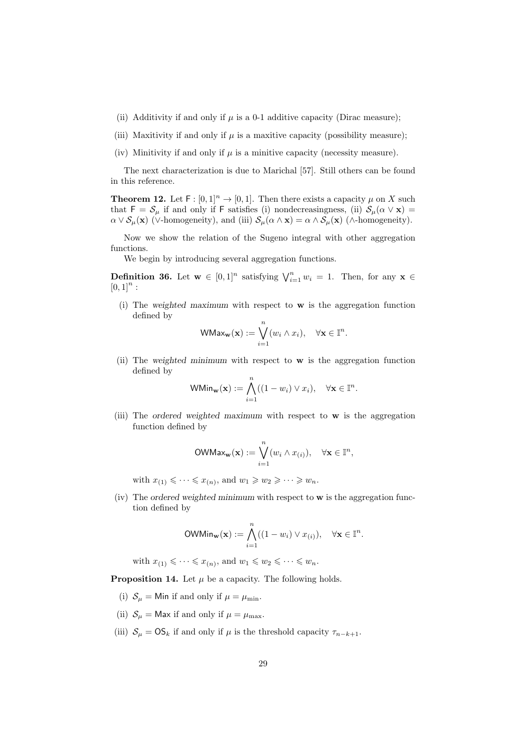- (ii) Additivity if and only if  $\mu$  is a 0-1 additive capacity (Dirac measure);
- (iii) Maxitivity if and only if  $\mu$  is a maxitive capacity (possibility measure);
- (iv) Minitivity if and only if  $\mu$  is a minitive capacity (necessity measure).

The next characterization is due to Marichal [57]. Still others can be found in this reference.

**Theorem 12.** Let  $F : [0,1]^n \to [0,1]$ . Then there exists a capacity  $\mu$  on *X* such that  $F = S_\mu$  if and only if F satisfies (i) nondecreasingness, (ii)  $S_\mu(\alpha \vee x) =$  $\alpha \vee \mathcal{S}_{\mu}(\mathbf{x})$  ( $\vee$ -homogeneity), and (iii)  $\mathcal{S}_{\mu}(\alpha \wedge \mathbf{x}) = \alpha \wedge \mathcal{S}_{\mu}(\mathbf{x})$  ( $\wedge$ -homogeneity).

Now we show the relation of the Sugeno integral with other aggregation functions.

We begin by introducing several aggregation functions.

**Definition 36.** Let  $\mathbf{w} \in [0,1]^n$  satisfying  $\bigvee_{i=1}^n w_i = 1$ . Then, for any  $\mathbf{x} \in \mathbb{R}$  $[0,1]^{n}$ :

(i) The *weighted maximum* with respect to **w** is the aggregation function defined by

$$
\mathsf{WMax}_{\mathbf{w}}(\mathbf{x}) := \bigvee_{i=1}^n (w_i \wedge x_i), \quad \forall \mathbf{x} \in \mathbb{I}^n.
$$

(ii) The *weighted minimum* with respect to **w** is the aggregation function defined by

$$
\mathsf{WMin}_{\mathbf{w}}(\mathbf{x}) := \bigwedge_{i=1}^{n} ((1 - w_i) \vee x_i), \quad \forall \mathbf{x} \in \mathbb{I}^n.
$$

(iii) The *ordered weighted maximum* with respect to **w** is the aggregation function defined by

$$
\text{OWMax}_{\mathbf{w}}(\mathbf{x}) := \bigvee_{i=1}^{n} (w_i \wedge x_{(i)}), \quad \forall \mathbf{x} \in \mathbb{I}^n,
$$

with  $x_{(1)} \leqslant \cdots \leqslant x_{(n)}$ , and  $w_1 \geqslant w_2 \geqslant \cdots \geqslant w_n$ .

(iv) The *ordered weighted minimum* with respect to **w** is the aggregation function defined by

$$
\text{OWMin}_{\mathbf{w}}(\mathbf{x}) := \bigwedge_{i=1}^{n} ((1 - w_i) \vee x_{(i)}), \quad \forall \mathbf{x} \in \mathbb{I}^n.
$$

with 
$$
x_{(1)} \leqslant \cdots \leqslant x_{(n)}
$$
, and  $w_1 \leqslant w_2 \leqslant \cdots \leqslant w_n$ .

**Proposition 14.** Let  $\mu$  be a capacity. The following holds.

- (i)  $S_{\mu}$  = Min if and only if  $\mu = \mu_{\min}$ .
- (ii)  $S_{\mu}$  = Max if and only if  $\mu = \mu_{\text{max}}$ .
- (iii)  $S_\mu = \mathbb{OS}_k$  if and only if  $\mu$  is the threshold capacity  $\tau_{n-k+1}$ .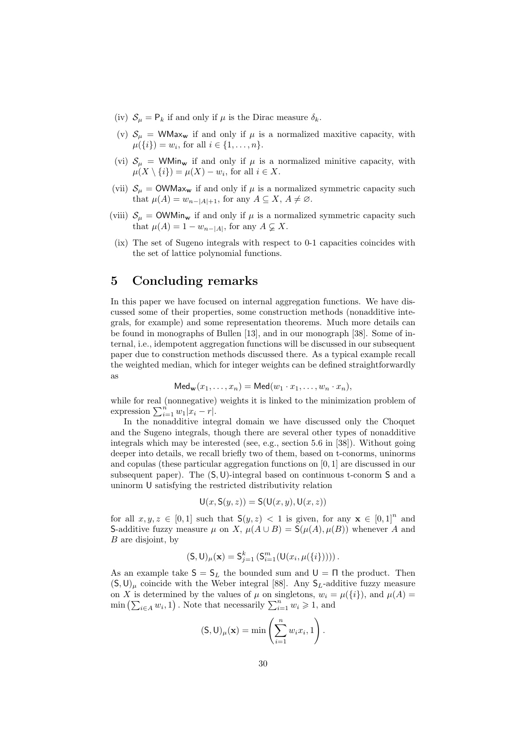- (iv)  $S_\mu = P_k$  if and only if  $\mu$  is the Dirac measure  $\delta_k$ .
- (v)  $S_\mu$  = WMax<sub>w</sub> if and only if  $\mu$  is a normalized maxitive capacity, with  $\mu({i}) = w_i$ , for all  $i \in \{1, ..., n\}$ .
- (vi)  $S_\mu$  = WMin<sub>w</sub> if and only if  $\mu$  is a normalized minitive capacity, with  $\mu(X \setminus \{i\}) = \mu(X) - w_i$ , for all  $i \in X$ .
- (vii)  $S_\mu$  = OWMax<sub>w</sub> if and only if  $\mu$  is a normalized symmetric capacity such that  $\mu(A) = w_{n-|A|+1}$ , for any  $A \subseteq X$ ,  $A \neq \emptyset$ .
- (viii)  $S_{\mu}$  = OWMin<sub>w</sub> if and only if  $\mu$  is a normalized symmetric capacity such that  $\mu(A) = 1 - w_{n-|A|}$ , for any  $A \subsetneq X$ .
- (ix) The set of Sugeno integrals with respect to 0-1 capacities coincides with the set of lattice polynomial functions.

# **5 Concluding remarks**

In this paper we have focused on internal aggregation functions. We have discussed some of their properties, some construction methods (nonadditive integrals, for example) and some representation theorems. Much more details can be found in monographs of Bullen [13], and in our monograph [38]. Some of internal, i.e., idempotent aggregation functions will be discussed in our subsequent paper due to construction methods discussed there. As a typical example recall the weighted median, which for integer weights can be defined straightforwardly as

$$
Med_{\mathbf{w}}(x_1,\ldots,x_n) = Med(w_1\cdot x_1,\ldots,w_n\cdot x_n),
$$

while for real (nonnegative) weights it is linked to the minimization problem of expression  $\sum_{i=1}^{n} w_1 |x_i - r|$ .

In the nonadditive integral domain we have discussed only the Choquet and the Sugeno integrals, though there are several other types of nonadditive integrals which may be interested (see, e.g., section 5.6 in [38]). Without going deeper into details, we recall briefly two of them, based on t-conorms, uninorms and copulas (these particular aggregation functions on [0*,* 1] are discussed in our subsequent paper). The (S*,*U)-integral based on continuous t-conorm S and a uninorm U satisfying the restricted distributivity relation

$$
\mathsf{U}(x,\mathsf{S}(y,z))=\mathsf{S}(\mathsf{U}(x,y),\mathsf{U}(x,z))
$$

for all  $x, y, z \in [0, 1]$  such that  $S(y, z) < 1$  is given, for any  $\mathbf{x} \in [0, 1]^n$  and S-additive fuzzy measure  $\mu$  on *X*,  $\mu(A \cup B) = S(\mu(A), \mu(B))$  whenever *A* and *B* are disjoint, by

$$
(\mathsf{S}, \mathsf{U})_{\mu}(\mathbf{x}) = \mathsf{S}_{j=1}^{k} \left( \mathsf{S}_{i=1}^{m} (\mathsf{U}(x_{i}, \mu({i}))) \right).
$$

As an example take  $S = S_L$  the bounded sum and  $U = \Pi$  the product. Then  $(S, U)$ <sub>µ</sub> coincide with the Weber integral [88]. Any  $S_L$ -additive fuzzy measure on *X* is determined by the values of  $\mu$  on singletons,  $w_i = \mu({i})$ , and  $\mu(A) =$  $\min \left( \sum_{i \in A} w_i, 1 \right)$ . Note that necessarily  $\sum_{i=1}^n w_i \geqslant 1$ , and

$$
(\mathsf{S},\mathsf{U})_{\mu}(\mathbf{x}) = \min\left(\sum_{i=1}^{n} w_i x_i, 1\right).
$$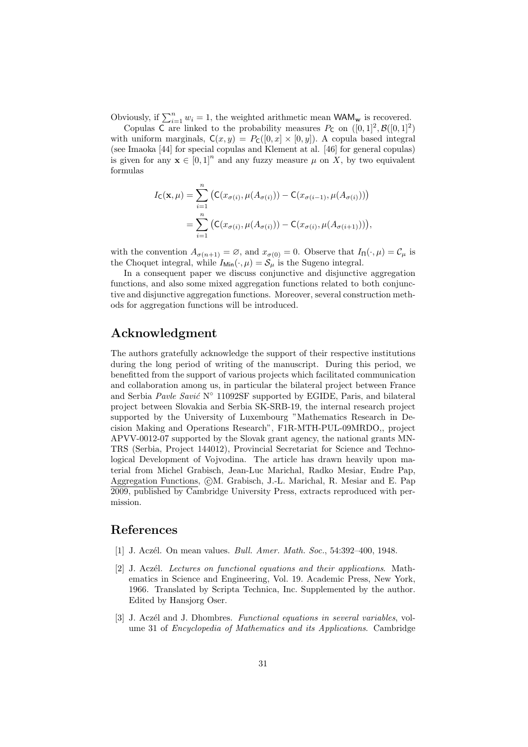Obviously, if  $\sum_{i=1}^{n} w_i = 1$ , the weighted arithmetic mean WAM<sub>w</sub> is recovered.

Copulas C are linked to the probability measures  $P_c$  on  $([0, 1]^2, \mathcal{B}([0, 1]^2)$ with uniform marginals,  $C(x, y) = P_C([0, x] \times [0, y])$ . A copula based integral (see Imaoka [44] for special copulas and Klement at al. [46] for general copulas) is given for any  $\mathbf{x} \in [0,1]^n$  and any fuzzy measure  $\mu$  on X, by two equivalent formulas

$$
I_{\mathsf{C}}(\mathbf{x}, \mu) = \sum_{i=1}^{n} \left( \mathsf{C}(x_{\sigma(i)}, \mu(A_{\sigma(i)})) - \mathsf{C}(x_{\sigma(i-1)}, \mu(A_{\sigma(i)})) \right)
$$
  
= 
$$
\sum_{i=1}^{n} \left( \mathsf{C}(x_{\sigma(i)}, \mu(A_{\sigma(i)})) - \mathsf{C}(x_{\sigma(i)}, \mu(A_{\sigma(i+1)})) \right),
$$

with the convention  $A_{\sigma(n+1)} = \emptyset$ , and  $x_{\sigma(0)} = 0$ . Observe that  $I_{\Pi}(\cdot, \mu) = C_{\mu}$  is the Choquet integral, while  $I_{\text{Min}}(\cdot, \mu) = \mathcal{S}_{\mu}$  is the Sugeno integral.

In a consequent paper we discuss conjunctive and disjunctive aggregation functions, and also some mixed aggregation functions related to both conjunctive and disjunctive aggregation functions. Moreover, several construction methods for aggregation functions will be introduced.

# **Acknowledgment**

The authors gratefully acknowledge the support of their respective institutions during the long period of writing of the manuscript. During this period, we benefitted from the support of various projects which facilitated communication and collaboration among us, in particular the bilateral project between France and Serbia *Pavle Savić* N<sup>°</sup> 11092SF supported by EGIDE, Paris, and bilateral project between Slovakia and Serbia SK-SRB-19, the internal research project supported by the University of Luxembourg "Mathematics Research in Decision Making and Operations Research", F1R-MTH-PUL-09MRDO,, project APVV-0012-07 supported by the Slovak grant agency, the national grants MN-TRS (Serbia, Project 144012), Provincial Secretariat for Science and Technological Development of Vojvodina. The article has drawn heavily upon material from Michel Grabisch, Jean-Luc Marichal, Radko Mesiar, Endre Pap, Aggregation Functions, *QM. Grabisch, J.-L. Marichal, R. Mesiar and E. Pap* 2009, published by Cambridge University Press, extracts reproduced with permission.

# **References**

- [1] J. Acz´el. On mean values. *Bull. Amer. Math. Soc.*, 54:392–400, 1948.
- [2] J. Aczél. *Lectures on functional equations and their applications*. Mathematics in Science and Engineering, Vol. 19. Academic Press, New York, 1966. Translated by Scripta Technica, Inc. Supplemented by the author. Edited by Hansjorg Oser.
- [3] J. Acz´el and J. Dhombres. *Functional equations in several variables*, volume 31 of *Encyclopedia of Mathematics and its Applications*. Cambridge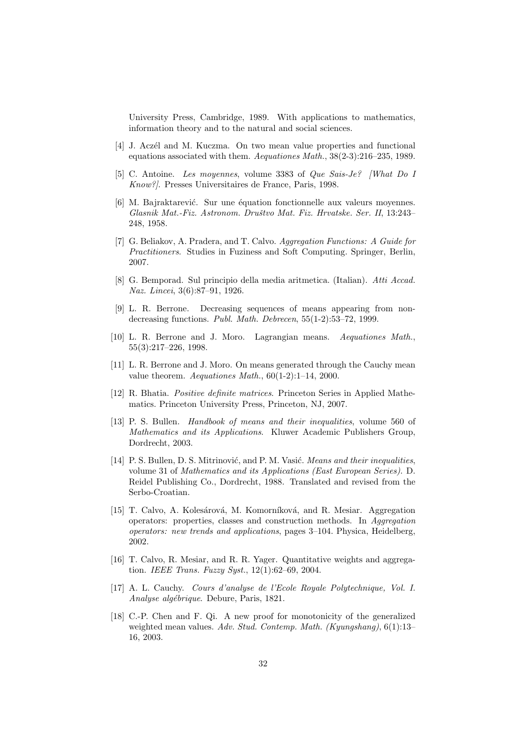University Press, Cambridge, 1989. With applications to mathematics, information theory and to the natural and social sciences.

- [4] J. Aczél and M. Kuczma. On two mean value properties and functional equations associated with them. *Aequationes Math.*, 38(2-3):216–235, 1989.
- [5] C. Antoine. *Les moyennes*, volume 3383 of *Que Sais-Je? [What Do I Know?]*. Presses Universitaires de France, Paris, 1998.
- [6] M. Bajraktarević. Sur une équation fonctionnelle aux valeurs moyennes. *Glasnik Mat.-Fiz. Astronom. Druˇstvo Mat. Fiz. Hrvatske. Ser. II*, 13:243– 248, 1958.
- [7] G. Beliakov, A. Pradera, and T. Calvo. *Aggregation Functions: A Guide for Practitioners*. Studies in Fuziness and Soft Computing. Springer, Berlin, 2007.
- [8] G. Bemporad. Sul principio della media aritmetica. (Italian). *Atti Accad. Naz. Lincei*, 3(6):87–91, 1926.
- [9] L. R. Berrone. Decreasing sequences of means appearing from nondecreasing functions. *Publ. Math. Debrecen*, 55(1-2):53–72, 1999.
- [10] L. R. Berrone and J. Moro. Lagrangian means. *Aequationes Math.*, 55(3):217–226, 1998.
- [11] L. R. Berrone and J. Moro. On means generated through the Cauchy mean value theorem. *Aequationes Math.*, 60(1-2):1–14, 2000.
- [12] R. Bhatia. *Positive definite matrices*. Princeton Series in Applied Mathematics. Princeton University Press, Princeton, NJ, 2007.
- [13] P. S. Bullen. *Handbook of means and their inequalities*, volume 560 of *Mathematics and its Applications*. Kluwer Academic Publishers Group, Dordrecht, 2003.
- [14] P. S. Bullen, D. S. Mitrinović, and P. M. Vasić. *Means and their inequalities*, volume 31 of *Mathematics and its Applications (East European Series)*. D. Reidel Publishing Co., Dordrecht, 1988. Translated and revised from the Serbo-Croatian.
- [15] T. Calvo, A. Kolesárová, M. Komorníková, and R. Mesiar. Aggregation operators: properties, classes and construction methods. In *Aggregation operators: new trends and applications*, pages 3–104. Physica, Heidelberg, 2002.
- [16] T. Calvo, R. Mesiar, and R. R. Yager. Quantitative weights and aggregation. *IEEE Trans. Fuzzy Syst.*, 12(1):62–69, 2004.
- [17] A. L. Cauchy. *Cours d'analyse de l'Ecole Royale Polytechnique, Vol. I. Analyse alg´ebrique*. Debure, Paris, 1821.
- [18] C.-P. Chen and F. Qi. A new proof for monotonicity of the generalized weighted mean values. *Adv. Stud. Contemp. Math. (Kyungshang)*, 6(1):13– 16, 2003.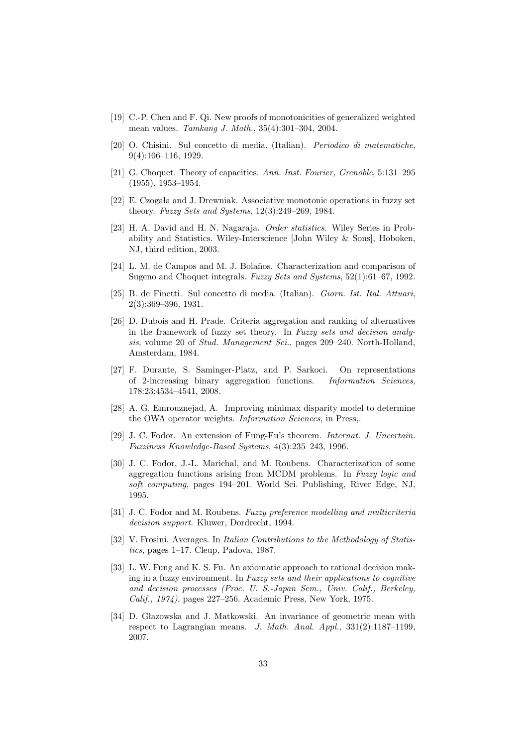- [19] C.-P. Chen and F. Qi. New proofs of monotonicities of generalized weighted mean values. *Tamkang J. Math.*, 35(4):301–304, 2004.
- [20] O. Chisini. Sul concetto di media. (Italian). *Periodico di matematiche*, 9(4):106–116, 1929.
- [21] G. Choquet. Theory of capacities. *Ann. Inst. Fourier, Grenoble*, 5:131–295 (1955), 1953–1954.
- [22] E. Czogała and J. Drewniak. Associative monotonic operations in fuzzy set theory. *Fuzzy Sets and Systems*, 12(3):249–269, 1984.
- [23] H. A. David and H. N. Nagaraja. *Order statistics*. Wiley Series in Probability and Statistics. Wiley-Interscience [John Wiley & Sons], Hoboken, NJ, third edition, 2003.
- [24] L. M. de Campos and M. J. Bolaños. Characterization and comparison of Sugeno and Choquet integrals. *Fuzzy Sets and Systems*, 52(1):61–67, 1992.
- [25] B. de Finetti. Sul concetto di media. (Italian). *Giorn. Ist. Ital. Attuari*, 2(3):369–396, 1931.
- [26] D. Dubois and H. Prade. Criteria aggregation and ranking of alternatives in the framework of fuzzy set theory. In *Fuzzy sets and decision analysis*, volume 20 of *Stud. Management Sci.*, pages 209–240. North-Holland, Amsterdam, 1984.
- [27] F. Durante, S. Saminger-Platz, and P. Sarkoci. On representations of 2-increasing binary aggregation functions. *Information Sciences*, 178:23:4534–4541, 2008.
- [28] A. G. Emrouznejad, A. Improving minimax disparity model to determine the OWA operator weights. *Information Sciences*, in Press,.
- [29] J. C. Fodor. An extension of Fung-Fu's theorem. *Internat. J. Uncertain. Fuzziness Knowledge-Based Systems*, 4(3):235–243, 1996.
- [30] J. C. Fodor, J.-L. Marichal, and M. Roubens. Characterization of some aggregation functions arising from MCDM problems. In *Fuzzy logic and soft computing*, pages 194–201. World Sci. Publishing, River Edge, NJ, 1995.
- [31] J. C. Fodor and M. Roubens. *Fuzzy preference modelling and multicriteria decision support*. Kluwer, Dordrecht, 1994.
- [32] V. Frosini. Averages. In *Italian Contributions to the Methodology of Statistics*, pages 1–17. Cleup, Padova, 1987.
- [33] L. W. Fung and K. S. Fu. An axiomatic approach to rational decision making in a fuzzy environment. In *Fuzzy sets and their applications to cognitive and decision processes (Proc. U. S.-Japan Sem., Univ. Calif., Berkeley, Calif., 1974)*, pages 227–256. Academic Press, New York, 1975.
- [34] D. Głazowska and J. Matkowski. An invariance of geometric mean with respect to Lagrangian means. *J. Math. Anal. Appl.*, 331(2):1187–1199, 2007.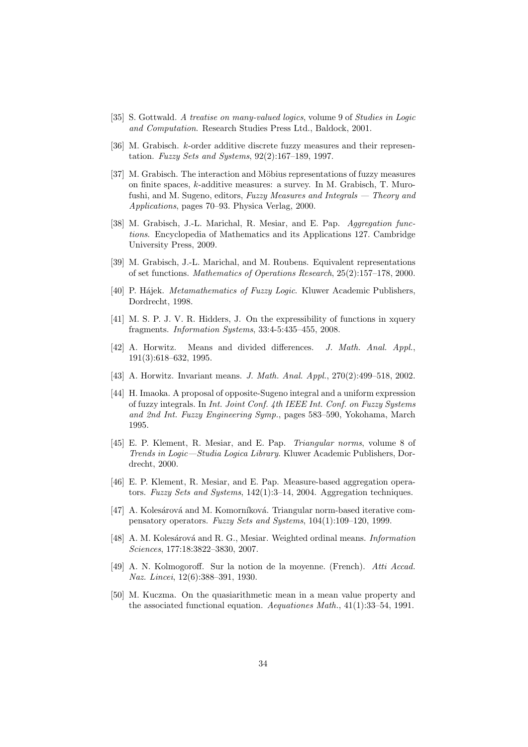- [35] S. Gottwald. *A treatise on many-valued logics*, volume 9 of *Studies in Logic and Computation*. Research Studies Press Ltd., Baldock, 2001.
- [36] M. Grabisch. *k*-order additive discrete fuzzy measures and their representation. *Fuzzy Sets and Systems*, 92(2):167–189, 1997.
- [37] M. Grabisch. The interaction and Möbius representations of fuzzy measures on finite spaces, *k*-additive measures: a survey. In M. Grabisch, T. Murofushi, and M. Sugeno, editors, *Fuzzy Measures and Integrals — Theory and Applications*, pages 70–93. Physica Verlag, 2000.
- [38] M. Grabisch, J.-L. Marichal, R. Mesiar, and E. Pap. *Aggregation functions*. Encyclopedia of Mathematics and its Applications 127. Cambridge University Press, 2009.
- [39] M. Grabisch, J.-L. Marichal, and M. Roubens. Equivalent representations of set functions. *Mathematics of Operations Research*, 25(2):157–178, 2000.
- [40] P. Hájek. *Metamathematics of Fuzzy Logic*. Kluwer Academic Publishers, Dordrecht, 1998.
- [41] M. S. P. J. V. R. Hidders, J. On the expressibility of functions in xquery fragments. *Information Systems*, 33:4-5:435–455, 2008.
- [42] A. Horwitz. Means and divided differences. *J. Math. Anal. Appl.*, 191(3):618–632, 1995.
- [43] A. Horwitz. Invariant means. *J. Math. Anal. Appl.*, 270(2):499–518, 2002.
- [44] H. Imaoka. A proposal of opposite-Sugeno integral and a uniform expression of fuzzy integrals. In *Int. Joint Conf. 4th IEEE Int. Conf. on Fuzzy Systems and 2nd Int. Fuzzy Engineering Symp.*, pages 583–590, Yokohama, March 1995.
- [45] E. P. Klement, R. Mesiar, and E. Pap. *Triangular norms*, volume 8 of *Trends in Logic—Studia Logica Library*. Kluwer Academic Publishers, Dordrecht, 2000.
- [46] E. P. Klement, R. Mesiar, and E. Pap. Measure-based aggregation operators. *Fuzzy Sets and Systems*, 142(1):3–14, 2004. Aggregation techniques.
- [47] A. Kolesárová and M. Komorníková. Triangular norm-based iterative compensatory operators. *Fuzzy Sets and Systems*, 104(1):109–120, 1999.
- [48] A. M. Kolesárová and R. G., Mesiar. Weighted ordinal means. *Information Sciences*, 177:18:3822–3830, 2007.
- [49] A. N. Kolmogoroff. Sur la notion de la moyenne. (French). *Atti Accad. Naz. Lincei*, 12(6):388–391, 1930.
- [50] M. Kuczma. On the quasiarithmetic mean in a mean value property and the associated functional equation. *Aequationes Math.*, 41(1):33–54, 1991.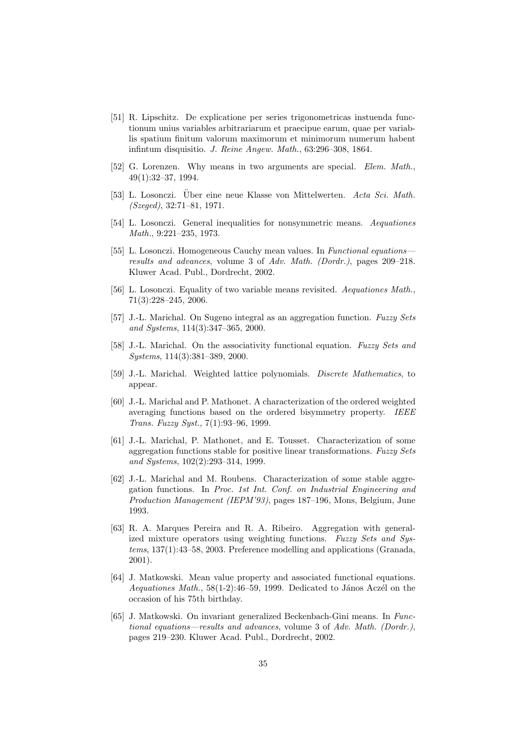- [51] R. Lipschitz. De explicatione per series trigonometricas instuenda functionum unius variables arbitrariarum et praecipue earum, quae per variablis spatium finitum valorum maximorum et minimorum numerum habent infintum disquisitio. *J. Reine Angew. Math.*, 63:296–308, 1864.
- [52] G. Lorenzen. Why means in two arguments are special. *Elem. Math.*, 49(1):32–37, 1994.
- [53] L. Losonczi. Uber eine neue Klasse von Mittelwerten. ¨ *Acta Sci. Math. (Szeged)*, 32:71–81, 1971.
- [54] L. Losonczi. General inequalities for nonsymmetric means. *Aequationes Math.*, 9:221–235, 1973.
- [55] L. Losonczi. Homogeneous Cauchy mean values. In *Functional equations results and advances*, volume 3 of *Adv. Math. (Dordr.)*, pages 209–218. Kluwer Acad. Publ., Dordrecht, 2002.
- [56] L. Losonczi. Equality of two variable means revisited. *Aequationes Math.*, 71(3):228–245, 2006.
- [57] J.-L. Marichal. On Sugeno integral as an aggregation function. *Fuzzy Sets and Systems*, 114(3):347–365, 2000.
- [58] J.-L. Marichal. On the associativity functional equation. *Fuzzy Sets and Systems*, 114(3):381–389, 2000.
- [59] J.-L. Marichal. Weighted lattice polynomials. *Discrete Mathematics*, to appear.
- [60] J.-L. Marichal and P. Mathonet. A characterization of the ordered weighted averaging functions based on the ordered bisymmetry property. *IEEE Trans. Fuzzy Syst.*, 7(1):93–96, 1999.
- [61] J.-L. Marichal, P. Mathonet, and E. Tousset. Characterization of some aggregation functions stable for positive linear transformations. *Fuzzy Sets and Systems*, 102(2):293–314, 1999.
- [62] J.-L. Marichal and M. Roubens. Characterization of some stable aggregation functions. In *Proc. 1st Int. Conf. on Industrial Engineering and Production Management (IEPM'93)*, pages 187–196, Mons, Belgium, June 1993.
- [63] R. A. Marques Pereira and R. A. Ribeiro. Aggregation with generalized mixture operators using weighting functions. *Fuzzy Sets and Systems*, 137(1):43–58, 2003. Preference modelling and applications (Granada, 2001).
- [64] J. Matkowski. Mean value property and associated functional equations. *Aequationes Math.*,  $58(1-2)$ :46–59, 1999. Dedicated to János Aczél on the occasion of his 75th birthday.
- [65] J. Matkowski. On invariant generalized Beckenbach-Gini means. In *Functional equations—results and advances*, volume 3 of *Adv. Math. (Dordr.)*, pages 219–230. Kluwer Acad. Publ., Dordrecht, 2002.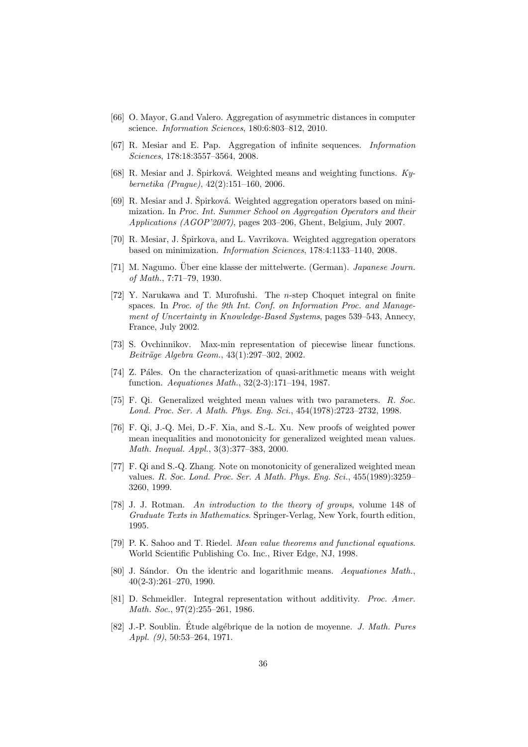- [66] O. Mayor, G.and Valero. Aggregation of asymmetric distances in computer science. *Information Sciences*, 180:6:803–812, 2010.
- [67] R. Mesiar and E. Pap. Aggregation of infinite sequences. *Information Sciences*, 178:18:3557–3564, 2008.
- [68] R. Mesiar and J. Špirková. Weighted means and weighting functions. Ky*bernetika (Prague)*, 42(2):151–160, 2006.
- $[69]$  R. Mesiar and J. Spirková. Weighted aggregation operators based on minimization. In *Proc. Int. Summer School on Aggregation Operators and their Applications (AGOP'2007)*, pages 203–206, Ghent, Belgium, July 2007.
- [70] R. Mesiar, J. Špirkova, and L. Vavrikova. Weighted aggregation operators based on minimization. *Information Sciences*, 178:4:1133–1140, 2008.
- [71] M. Nagumo. Über eine klasse der mittelwerte. (German). *Japanese Journ. of Math.*, 7:71–79, 1930.
- [72] Y. Narukawa and T. Murofushi. The *n*-step Choquet integral on finite spaces. In *Proc. of the 9th Int. Conf. on Information Proc. and Management of Uncertainty in Knowledge-Based Systems*, pages 539–543, Annecy, France, July 2002.
- [73] S. Ovchinnikov. Max-min representation of piecewise linear functions. *Beitr¨age Algebra Geom.*, 43(1):297–302, 2002.
- [74] Z. Páles. On the characterization of quasi-arithmetic means with weight function. *Aequationes Math.*, 32(2-3):171–194, 1987.
- [75] F. Qi. Generalized weighted mean values with two parameters. *R. Soc. Lond. Proc. Ser. A Math. Phys. Eng. Sci.*, 454(1978):2723–2732, 1998.
- [76] F. Qi, J.-Q. Mei, D.-F. Xia, and S.-L. Xu. New proofs of weighted power mean inequalities and monotonicity for generalized weighted mean values. *Math. Inequal. Appl.*, 3(3):377–383, 2000.
- [77] F. Qi and S.-Q. Zhang. Note on monotonicity of generalized weighted mean values. *R. Soc. Lond. Proc. Ser. A Math. Phys. Eng. Sci.*, 455(1989):3259– 3260, 1999.
- [78] J. J. Rotman. *An introduction to the theory of groups*, volume 148 of *Graduate Texts in Mathematics*. Springer-Verlag, New York, fourth edition, 1995.
- [79] P. K. Sahoo and T. Riedel. *Mean value theorems and functional equations*. World Scientific Publishing Co. Inc., River Edge, NJ, 1998.
- [80] J. Sándor. On the identric and logarithmic means. *Aequationes Math.*, 40(2-3):261–270, 1990.
- [81] D. Schmeidler. Integral representation without additivity. *Proc. Amer. Math. Soc.*, 97(2):255–261, 1986.
- [82] J.-P. Soublin. Etude alg´ebrique de la notion de moyenne. ´ *J. Math. Pures Appl. (9)*, 50:53–264, 1971.